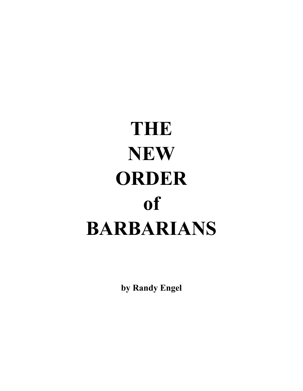# **THE NEW ORDER of BARBARIANS**

**by Randy Engel**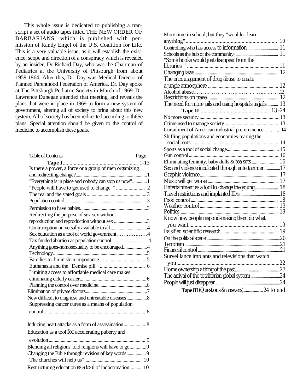This whole issue is dedicated to publishing a transcript a set of audio tapes titled THE NEW ORDER OF BARBARIANS, which is published with permission of Randy Engel of the U.S. Coalition for Life. This is a very valuable issue, as it will establish the existence, scope and direction of a conspiracy which is revealed by an insider, Dr Richard Day, who was the Chairman of Pediatrics at the University of Pittsburgh from about 1959-1964. After this, Dr. Day was Medical Director of Planned Parenthood Federation of America. Dr. Day spoke at The Pittsburgh Pediatric Society in March of 1969. Dr. Lawrence Dunegan attended that meeting, and reveals the plans that were in place in 1969 to form a new system of government, altering all of society to bring about this new system. All of society has been redirected according to th6Se plans. Special attention should be given to the control of medicine to accomplish these goals.

| <b>Table of Contents</b>                               | Page |
|--------------------------------------------------------|------|
|                                                        |      |
| Is there a power, a force or a group of men organizing |      |
|                                                        |      |
| "Everything is in place and nobody can stop us now"1   |      |
|                                                        |      |
|                                                        |      |
|                                                        |      |
|                                                        |      |
| Redirecting the purpose of sex-sex without             |      |
| reproduction and reproduction without sex 3            |      |
|                                                        |      |
| Sex education as a tool of world government4           |      |
| Tax funded abortion as population control 4            |      |
| Anything goes-homosexuality to be encouraged4          |      |
|                                                        |      |
|                                                        |      |
|                                                        |      |
| Limiting access to affordable medical care makes       |      |
|                                                        |      |
|                                                        |      |
|                                                        |      |
|                                                        |      |
| Suppressing cancer cures as a means of population      |      |
|                                                        |      |
|                                                        |      |
|                                                        |      |
| Education as a tool for accelerating puberty and       |      |
|                                                        |      |
| Blending all religionsold religions will have to go9   |      |
|                                                        |      |
|                                                        |      |
| Restructuring education as a tool of indoctrination 10 |      |
|                                                        |      |

| More time in school, but they "wouldn't learn           |    |
|---------------------------------------------------------|----|
| anything"                                               |    |
|                                                         |    |
|                                                         |    |
| "Some books would just disappear from the               |    |
| libraries                                               |    |
|                                                         |    |
| The encouragement of drug abuse to create               |    |
|                                                         |    |
|                                                         |    |
|                                                         |    |
| The need for more jails and using hospitals as jails 13 |    |
|                                                         |    |
|                                                         |    |
|                                                         |    |
| Curtailment of American industrial pre-eminence 14      |    |
| Shifting populations and economies-tearing the          |    |
|                                                         |    |
|                                                         |    |
|                                                         |    |
|                                                         |    |
| Sex and violence inculcated through entertainment 17    |    |
|                                                         |    |
|                                                         |    |
| Entertainment as a tool to change the young 18          |    |
|                                                         |    |
|                                                         |    |
|                                                         |    |
| Politics                                                |    |
| Know how people respond-making them do what             |    |
|                                                         | 19 |
|                                                         |    |
|                                                         |    |
|                                                         |    |
|                                                         |    |
| Surveillance implants and televisions that watch        |    |
| 22<br>you                                               |    |
|                                                         |    |
| The arrival of the totalitarian global system24         |    |
|                                                         |    |
| Tape III (Questions & answers) 24 to end                |    |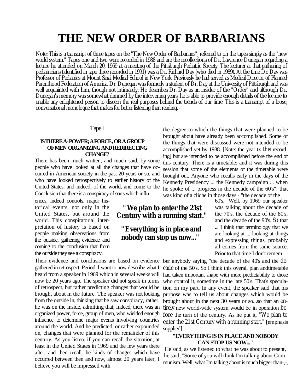## **THE NEW ORDER OF BARBARIANS**

Note: This is a transcript of three tapes on the "The New Order of Barbarians", referred to on the tapes simply as the "new world system." Tapes one and two were recorded in 1988 and are the recollections of Dr. Lawrence Dunegan regarding a lecture he attended on March 20, 1969 at a meeting of the Pittsburgh Pediatric Society. The lecturer at that gathering of pediatricians (identified in tape three recorded in 1991) was a Dr. Richard Day (who died in 1989). At the time Dr. Day was Professor of Pediatrics at Mount Sinai Medical School in New York. Previously he had served as Medical Director of Planned Parenthood Federation of America. Dr. Dunegan was formerly a student of Dr. Day at the University of Pittsburgh and was well acquainted with him, though not intimately. He describes Dr. Day as an insider of the "Order" and although Dr. Dunegan's memory was somewhat dimmed by the intervening years, he is able to provide enough details of the lecture to enable any enlightened person to discern the real purposes behind the trends of our time. This is a transcript of a loose, conversational monologue that makes for better listening than reading. -

#### Tape I

#### **ISTHERE A- POWER; A FORCE , OR A GROUP OF MEN ORGANIZING AND REDIRECTING CHANGE?**

There has been much written, and much said, by some people who have looked at all the changes that have occurred in American society in the past 20 years or so, and who have looked retrospectively to earlier history of the United States, and indeed, of the world, and come to the Conclusion that there is a conspiracy of sorts which influ-

ences, indeed controls. major historical events, not only in the United States, but around the world. This conspiratorial interpretation of history is based on people making observations from the outside, gathering evidence and coming to the conclusion that from the outside they see a conspiracy.

now be 20 years ago. The speaker did not speak in terms of retrospect, but rather predicting changes that would be brought about in the future. The speaker was not looking from the outside in, thinking that he saw conspiracy, rather, he was on the inside, admitting that, indeed, there was an organized power, force, group of men, who wielded enough influence to determine major events involving countries around the world. And he predicted, or rather expounded on, changes that were planned for the remainder of this century. As you listen, if you can recall the situation, at least in the United States in 1969 and the few years there after, and then recall the kinds of changes which have occurred between then and now, almost 20 years later, I believe you will be impressed with

the degree to which the things that were planned to be brought about have already been accomplished. Some of the things that were discussed were not intended to be accomplished yet by 1988. [Note: the year o: this recording] but are intended to be accomplished before the end of this century. There is a timetable; and it was during this session that some of the elements of the timetable were brought out. Anyone who recalls early in the days of the Kennedy Presidency ... the Kennedy campaign ... when he spoke of ... progress in the decade of the 60's": that was kind of a cliche in those days - "the decade of the

**"We plan to enter the 21st Century with a running start."**

**"Everything is in place and nobody can stop us now..."**

60's." Well, by 1969 our speaker was talking about the decade of the 70's, the decade of the 80's, and the decade of the 90's. So that ... I think that terminology that we are looking at ... looking at things and expressing things, probably all comes from the same source. Prior to that time I don't remem-

Their evidence and conclusions are based on evidence ber anybody saying "the decade of the 40's and the degathered in retrospect. Period. I want to now describe what I cade of the 50's. So I think this overall plan andtimetable heard from a speaker in 1969 which in several weeks will had taken important shape with more predictability to those who control it, sometime in the late 50's. That's speculation on my part. In any event, the speaker said that his purpose was to tell us about changes which would be brought about in the next 30 years or so...so that an entirely new world-wide system would be in operation before the turn of the century. As he put it, "We plan to enter the 21st Century with a running start." [emphasis supplied]

#### **"EVERYTHING IS IN PLACE AND NOBODY CAN STOP US NOW..."**

He said, as we listened to what he was about to present, he said, "Some of you will think I'm talking about Communism. Well, what I'm talking about is much bigger than-,-,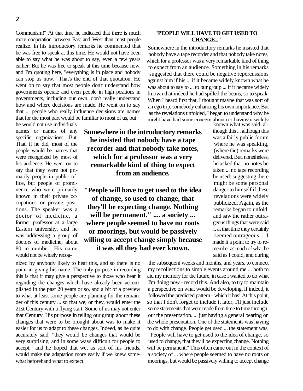Communism!" At that time he indicated that there is much more cooperation between East and West than most people realize. In his introductory remarks he commented that he was free to speak at this time. He would not have been able to say what he was about to say, even a few years earlier. But he was free to speak at this time because now, and I'm quoting here, "everything is in place and nobody can stop us now." That's the end of that quotation. He went on to say that most people don't understand how governments operate and even people in high positions in governments, including our own, don't really understand how and where decisions are made. He went on to say that ... people who really influence decisions are names that for the most part would be familiar to most of us, but

he would not use individuals' names or names of any specific organizations. But. That, if he did, most of the people would be names that were recognized by most of his audience. He went on to say that they were not primarily people in public office, but people of prominence who were primarily known in their private occupations or private positions. The speaker was a doctor of medicine, a former professor at a large Eastern university, and he was addressing a group of doctors of medicine, about 80 in number. His name would not be widely recog-

**Somewhere in the introductory remarks he insisted that nobody have a tape recorder and that nobody take notes, which for a professor was a very remarkable kind of thing to expect from an audience.**

**"People will have to get used to the idea of change, so used to change, that they'll be expecting change. Nothing will be permanent." .... a society ... where people seemed to have no roots or moorings, but would be passively willing to accept change simply because it was all they had ever known.**

**"PEOPLE WILL HAVE TO GET USED TO CHANGE..."**

Somewhere in the introductory remarks he insisted that nobody have a tape recorder and that nobody take notes, which for a professor was a very remarkable kind of thing to expect from an audience. Something in his remarks suggested that there could be negative repercussions against him if his ... if it became widely known what he was about to say to ... to our group ... if it became widely known that indeed he had spilled the beans, so to speak. When I heard first that, I thought maybe that was sort of an ego trip, somebody enhancing his own importance. But as the revelations unfolded, I began to understand why he might have had some concern about not having it widely known what was said, al-

though this ... although this was a fairly public forum where he was speaking, (where the) remarks were delivered. But, nonetheless, he asked that no notes be taken ... no tape recording be used: suggesting there might be some personal danger to himself if these revelations were widely publicized. Again, as the remarks began to unfold, and saw the rather outrageous things that were said ... at that time they certainly seemed outrageous ... I made it a point to try to remember as much of what he said as I could, and during

nized by anybody likely to hear this, and so there is no point in giving his name. The only purpose in recording this is that it may give a perspective to those who hear it regarding the changes which have already been accomplished in the past 20 years or so, and a bit of a preview to what at least some people are planning for the remainder of this century ... so that we, or they, would enter the 21st Century with a flying start. Some of us may not enter that Century. His purpose in telling our group about these changes that were to be brought about was to make it easier for us to adapt to these changes. Indeed, as he quite accurately said, "they would be changes that would be very surprising, and in some ways difficult for people to accept," and he hoped that we, as sort of his friends, would make the adaptation more easily if we knew somewhat beforehand what to expect.

the subsequent weeks and months, and years, to connect my recollections to simple events around me ... both to aid my memory for the future, in case I wanted to do what I'm doing now - record this. And also, to try to maintain a perspective on what would be developing, if indeed, it followed the predicted pattern - which it has! At this point, so that I don't forget to include it later, I'll just include some statements that were made from time to time throughout the presentation. ... just having a general bearing on the whole presentation. One of the statements was having to do with change. People get used ... the statement was, "People will have to get used to the idea of change, so used to change, that they'll be expecting change. Nothing will be permanent." This often came out in the context of a society of ... where people seemed to have no roots or moorings, but would be passively willing to accept change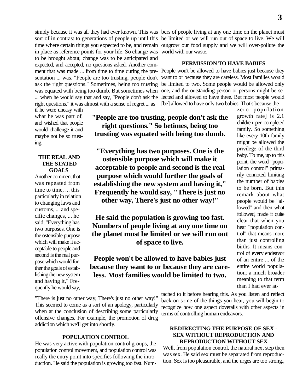simply because it was all they had ever known. This was bers of people living at any one time on the planet must sort of in contrast to generations of people up until this be limited or we will run out of space to live. We will time where certain things you expected to be, and remain outgrow our food supply and we will over-pollute the in place as reference points for your life. So change was world with our waste. to be brought about, change was to be anticipated and expected, and accepted, no questions asked. Another comment that was made ... from time to time during the pre-People won't be allowed to have babies just because they sentation ... was. "People are too trusting, people don't want to or because they are careless. Most families would ask the right questions." Sometimes, being too trusting be limited to two. Some people would be allowed only was equated with being too dumb. But sometimes when one, and the outstanding person or persons might be se-... when he would say that and say, "People don't ask the lected and allowed to have three. But most people would right questions," it was almost with a sense of regret ... as

if he were uneasy with what he was part of, and wished that people would challenge it and maybe not be so trusting.

#### **THE REAL AND THE STATED GOALS**

Another comment that was repeated from time to time, ... this particularly in relation to changing laws and customs, ... and specific changes, ... he said, "Everything has two purposes. One is the ostensible purpose which will make it acceptable to people and second is the real purpose which would further the goals of establishing the new system and having it," Frequently he would say,

## **"People are too trusting, people don't ask the right questions." So betimes, being too trusting was equated with being too dumb.**

**"Everything has two purposes. One is the ostensible purpose which will make it acceptable to people and second is the real purpose which would further the goals of establishing the new system and having it," Frequently he would say, "There is just no other way, There's just no other way!"**

**He said the population is growing too fast. Numbers of people living at any one time on the planet must be limited or we will run out of space to live.**

## **People won't be allowed to have babies just because they want to or because they are careless. Most families would be limited to two.**

growth rate] is 2.1 children per completed family. So something like every 10th family might be allowed the privilege of the third baby. To me, up to this point, the word "population control" primarily connoted limiting the number of babies to be born. But this remark about what people would be "allowed" and then what followed, made it quite clear that when you hear "population control" that means more than just controlling births. It means control of every endeavor of an entire ... of the entire world population; a much broader meaning to that term than I had ever at-

zero population

"There is just no other way, There's just no other way!" This seemed to come as a sort of an apology, particularly when at the conclusion of describing some particularly offensive changes. For example, the promotion of drug addiction which we'll get into shortly.

#### **POPULATION CONTROL**

He was very active with population control groups, the population control movement, and population control was really the entry point into specifics following the introduction. He said the population is growing too fast. Numtached to it before hearing this. As you listen and reflect back on some of the things you hear, you will begin to recognize how one aspect dovetails with other aspects in terms of controlling human endeavors.

**PERMISSION TO HAVE BABIES**

[be] allowed to have only two babies. That's because the

#### **REDIRECTING THE PURPOSE OF SEX - SEX WITHOUT REPRODUCTION AND REPRODUCTION WITHOUT SEX**

Well, from population control, the natural next step then was sex. He said sex must be separated from reproduction. Sex is too pleasurable, and the urges are too strong.,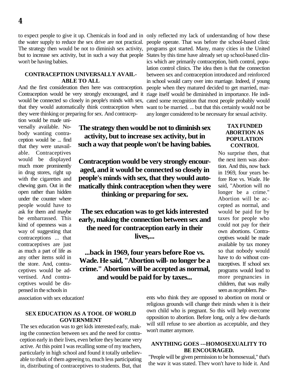to expect people to give it up. Chemicals in food and in only reflected my lack of understanding of how these the water supply to reduce the sex drive are not practical. people operate. That was before the school-based clinic The strategy then would be not to diminish sex activity, programs got started. Many, many cities in the United but to increase sex activity, but in such a way that people States by this time have already set up school-based clinwon't be having babies.

#### **CONTRACEPTION UNIVERSALLY AVAIL-ABLE TO ALL**

And the first consideration then here was contraception. people when they matured decided to get married, mar-Contraception would be very strongly encouraged, and it riage itself would be diminished in importance. He indiwould be connected so closely in people's minds with sex, cated some recognition that most people probably would that they would automatically think contraception when they were thinking or preparing for sex. And contracep-

tion would be made universally available. Nobody wanting contraception would be ... find that they were unavailable. Contraceptives would be displayed much more prominently in drug stores, right up with the cigarettes and chewing gum. Out in the open rather than hidden under the counter where people would have to ask for them and maybe be embarrassed. This kind of openness was a way of suggesting that contraceptions ... that contraceptives are just as much a part of life as any other items sold in the store. And, contraceptives would be advertised. And contraceptives would be dispensed in the schools in

**The strategy then would be not to diminish sex activity, but to increase sex activity, but in such a way that people won't be having babies.**

**Contraception would be very strongly encouraged, and it would be connected so closely in people's minds with sex, that they would automatically think contraception when they were thinking or preparing for sex.**

**The sex education was to get kids interested early, making the connection between sex and the need for contraception early in their lives,...**

**...back in 1969, four years before Roe vs. Wade. He said, "Abortion will- no longer be a crime." Abortion will be accepted as normal, and would be paid for by taxes...**

#### **TAX FUNDED ABORTION AS POPULATION CONTROL**

No surprise then, that the next item was abortion. And this, now back in 1969, four years before Roe vs. Wade. He said, "Abortion will no longer be a crime." Abortion will be accepted as normal, and would be paid for by taxes for people who could not pay for their own abortions. Contraceptives would be made available by tax money so that nobody would have to do without contraceptives. If school sex programs would lead to more pregnancies in children, that was really seen as no problem. Par-

association with sex education!

#### **SEX EDUCATION AS A TOOL OF WORLD GOVERNMENT**

The sex education was to get kids interested early, making the connection between sex and the need for contraception early in their lives, even before they became very active. At this point I was recalling some of my teachers, particularly in high school and found it totally unbelievable to think of them agreeing to, much less participating in, distributing of contraceptives to students. But, that

ents who think they are opposed to abortion on moral or religious grounds will change their minds when it is their own child who is pregnant. So this will help overcome opposition to abortion. Before long, only a few die-hards will still refuse to see abortion as acceptable, and they won't matter anymore.

ics which are primarily contraception, birth control, population control clinics. The idea then is that the connection between sex and contraception introduced and reinforced in school would carry over into marriage. Indeed, if young

want to be married. ... but that this certainly would not be any longer considered to be necessary for sexual activity.

#### **ANYTHING GOES ---HOMOSEXUALITY TO BE ENCOURAGED.**

"People will be given permission to be homosexual," that's the way it was stated. They won't have to hide it. And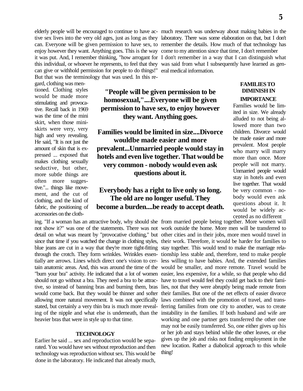enjoy however they want. Anything goes. This is the way come to my attention since that time, I don't remember can give or withhold permission for people to do things!" eral medical information. But that was the terminology that was used. In this re-

elderly people will be encouraged to continue to have ac-much research was underway about making babies in the tive sex lives into the very old ages, just as long as they laboratory. There was some elaboration on that, but I don't can. Everyone will be given permission to have sex, to remember the details. How much of that technology has it was put. And, I remember thinking, "how arrogant for I don't remember in a way that I can distinguish what this individual, or whoever he represents, to feel that they was said from what I subsequently have learned as gen-

gard, clothing was mentioned. Clothing styles would be made more stimulating and provocative. Recall back in 1969 was the time of the mini skirt, when those miniskirts were very, very high and very revealing. He said, "It is not just the amount of skin that is expressed ... exposed that makes clothing sexually seductive, but other, more subtle things are often more suggestive."... things like movement, and the cut of clothing, and the kind of fabric, the positioning of accessories on the cloth-

**"People will be given permission to be homosexual,"....Everyone will be given permission to have sex, to enjoy however they want. Anything goes.**

**Families would be limited in size....Divorce would-be made easier and more prevalent...Unmarried people would stay in hotels and even live together. That would be very common - nobody would even ask questions about it.**

## **Everybody has a right to live only so long. The old are no longer useful. They become a burden....be ready to accept death.**

heavier bras that were in style up to that time.

#### **TECHNOLOGY**

Earlier he said ... sex and reproduction would be separated. You would have sex without reproduction and then technology was reproduction without sex. This would be done in the laboratory. He indicated that already much,

## **FAMILIES TO DIMINISH IN IMPORTANCE**

Families would be limited in size. We already alluded to not being allowed more than two children. Divorce would be made easier and more prevalent. Most people who marry will marry more than once. More people will not marry. Unmarried people would stay in hotels and even live together. That would be very common - nobody would even ask questions about it. It would be widely ac-

accessories on the crour-<br>ing. "If a woman has an attractive body, why should she from married people being together. More women will not show it?" was one of the statements. There was not work outside the home. More men will be transferred to detail on what was meant by "provocative clothing," but other cities and in their jobs, more men would travel in since that time if you watched the change in clothing styles, their work. Therefore, it would be harder for families to blue jeans are cut in a way that they're more tight-fitting stay together. This would tend to make the marriage relathrough the crotch. They form wrinkles. Wrinkles essen-tionship less stable and, therefore, tend to make people tially are arrows. Lines which direct one's vision to cer-less willing to have babies. And, the extended families tain anatomic areas. And, this was around the time of the would be smaller, and more remote. Travel would be "burn your bra" activity. He indicated that a lot of women easier, less expensive, for a while, so that people who did should not go without a bra. They need a bra to be attrac-have to travel would feel they could get back to their famitive, so instead of banning bras and burning them, bras lies, not that they were abruptly being made remote from would come back. But they would be thinner and softer their families. But one of the net effects of easier divorce allowing more natural movement. It was not specifically laws combined with the promotion of travel, and transstated, but certainly a very thin bra is much more reveal-ferring families from one city to another, was to create ing of the nipple and what else is underneath, than the instability in the families. If both husband and wife are working and one partner gets transferred the other one may not be easily transferred. So, one either gives up his or her job and stays behind while the other leaves, or else gives up the job and risks not finding employment in the new location. Rather a diabolical approach to this whole thing!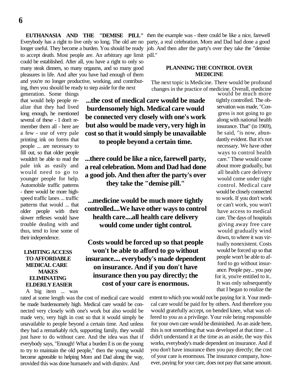to accept death. Most people are. An arbitrary age limit pill." could be established. After all, you have a right to only so many steak dinners, so many orgasms, and so many good pleasures in life. And after you have had enough of them and you're no longer productive, working, and contributing, then you should be ready to step aside for the next

generation. Some things that would help people realize that they had lived long enough, he mentioned several of these - I don't remember them all - here are a few - use of very pale printing ink on forms that people ... are necessary to fill out, so that older people wouldn't be able to read the pale ink as easily and would need to go to younger people for help. Automobile traffic patterns - there would be more highspeed traffic lanes ... traffic patterns that would ... that older people with their slower reflexes would have trouble dealing with and thus, tend to lose some of their independence.

#### **LIMITING ACCESS TO AFFORDABLE MEDICAL CARE MAKES ELIMINATING ELDERLY EASIER**

A big item ... was

rated at some length was the cost of medical care would be made burdensomely high. Medical care would be connected very closely with one's work but also would be made very, very high in cost so that it would simply be unavailable to people beyond a certain time. And unless they had a remarkably rich, supporting family, they would just have to do without care. And the idea was that if everybody says, "Enough! What a burden *it* is on the young to try to maintain the old people," then the young would become agreeable to helping Mom and Dad along the way, provided this was done humanely and with dignity. And

**EUTHANASIA AND THE "DEMISE PILL"**  then the example was - there could be like a nice, farewell Everybody has a right to live only so long. The old are no party, a real celebration. Mom and Dad had done a good longer useful. They become a burden. You should be ready job. And then after the party's over they take the "demise

#### **PLANNING THE CONTROL OVER MEDICINE**

The next topic is Medicine. There would be profound changes in the practice of medicine. Overall, medicine would be much more

**...the cost of medical care would be made burdensomely high. Medical care would be connected very closely with one's work but also would be made very, very high in cost so that it would simply be unavailable to people beyond a certain time.**

**...there could be like a nice, farewell party, a real celebration. Mom and Dad had done a good job. And then after the party's over they take the "demise pill."**

**...medicine would be much more tightly controlled....We have other ways to control health care....all health care delivery would come under tight control.**

**Costs would be forced up so that people won't be able to afford to go without insurance.... everybody's made dependent on insurance. And if you don't have insurance then you pay directly; the cost of your care is enormous.**

tightly controlled. The observation was made, "Congress is not going to go along with national health insurance. That" (in 1969), he said, "is now, abundantly evident. But it's not necessary. We have other ways to control health care." These would come about more gradually, but all health care delivery would come under tight control. Medical care would be closely connected to work. If you don't work or can't work, you won't have access to medical care. The days of hospitals giving away free care would gradually wind down, to where it was virtually nonexistent. Costs would be forced up so that people won't be able to afford to go without insurance. People pay... you pay for it, you're entitled to it.. It was only subsequently that I began to realize the

extent to which you would not be paying for it. Your medical care would be paid for by others. And therefore you would gratefully accept, on bended knee, what was offered to you as a privilege. Your role being responsible for your own care would be diminished. As an aside here, this is not something that was developed at that time ... I didn't understand it at the time as an aside, the way this works, everybody's made dependent on insurance. And if you don't have insurance then you pay directly; the cost of your care is enormous. The insurance company, however, paying for your care, does not pay that same amount.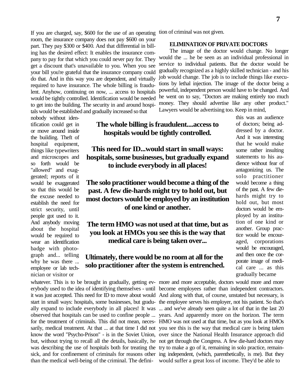If you are charged, say, \$600 for the use of an operating tion of criminal was not given. room, the insurance company does not pay \$600 on your part. They pay \$300 or \$400. And that differential in billing has the desired effect: It enables the insurance company to pay for that which you could never pay for. They get a discount that's unavailable to you. When you see your bill you're grateful that the insurance company could do that. And in this way you are dependent, and virtually required to have insurance. The whole billing is fraudulent. Anyhow, continuing on now, ... access to hospitals would be tightly controlled. Identification would be needed to get into the building. The security in and around hospitals would be established and gradually increased so that

nobody without identification could get in or move around inside the building. Theft of hospital equipment, things like typewriters and microscopes and so forth would be "allowed" and exaggerated; reports of it would be exaggerated so that this would be the excuse needed to establish the need for strict security, until people got used to it. And anybody moving about the hospital would be required to wear an identification badge with photograph and... telling why he was there ... employee or lab technician or visitor or

**The whole billing is fraudulent....access to hospitals would be tightly controlled.**

**This need for ID...would start in small ways: hospitals, some businesses, but gradually expand to include everybody in all places!**

**The solo practitioner would become a thing of the past. A few die-hards might try to hold out, but most doctors would be employed by an institution of one kind or another.**

**The term HMO was not used at that time, but as you look at HMOs you see this is the way that medical care is being taken over...**

## **Ultimately, there would be no room at all for the solo practitioner after the system is entrenched.**

whatever. This is to be brought in gradually, getting ev- more and more acceptable, doctors would more and more than the medical well-being of the criminal. The defini-would suffer a great loss of income. They'd be able to

erybody used to the idea of identifying themselves - until become employees rather than independent contractors. it was just accepted. This need for ID to move about would And along with that, of course, unstated but necessary, is start in small ways: hospitals, some businesses, but gradu-the employee serves his employer, not his patient. So that's ally expand to include everybody in all places! It was ... and we've already seen quite a lot of that in the last 20 observed that hospitals can be used to confine people ... years. And apparently more on the horizon. The term for the treatment of criminals. This did not mean, neces- HMO was not used at that time, but as you look at HMOs sarily, medical treatment. At that ... at that time I did not you see this is the way that medical care is being taken know the word "Psycho-Prison" - is in the Soviet Union, over since the National Health Insurance approach did but, without trying to recall all the details, basically, he not get through the Congress. A few die-hard doctors may was describing the use of hospitals both for treating the try to make a go of it, remaining in solo practice, remainsick, and for confinement of criminals for reasons other ing independent, (which, parenthetically, is me). But they

#### **ELIMINATION OF PRIVATE DOCTORS**

The image of the doctor would change. No longer would the ... he be seen as an individual professional in service to individual patients. But the doctor would be gradually recognized as a highly skilled technician - and his job would change. The job is to include things like executions by lethal injection. The image of the doctor being a powerful, independent person would have to be changed. And he went on to say, "Doctors are making entirely too much money. They should advertise like any other product." Lawyers would be advertising too. Keep in mind,

> this was an audience of doctors; being addressed by a doctor. And it was interesting that he would make some rather insulting statements to his audience without fear of antagonizing us. The solo practitioner would become a thing of the past. A few diehards might try to hold out, but most doctors would be employed by an institution of one kind or another. Group practice would be encouraged, corporations would be encouraged, and then once the corporate image of medical care ... as this gradually became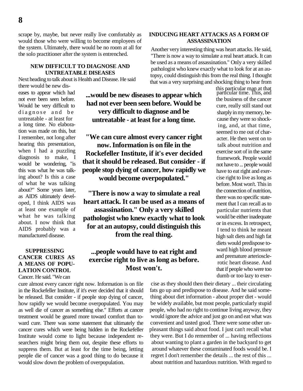scrape by, maybe, but never really live comfortably as would those who were willing to become employees of the system. Ultimately, there would be no room at all for the solo practitioner after the system is entrenched.

#### **NEW DIFFICULT TO DIAGNOSE AND UNTREATABLE DISEASES**

Next heading to talk about is Health and Disease. He said there would be new dis-

eases to appear which had not ever been seen before. Would be very difficult to diagnose and be untreatable - at least for a long time. No elaboration was made on this, but I remember, not long after hearing this presentation, when I had a puzzling diagnosis to make, I would be wondering, "is this was what he was talking about? Is this a case of what he was talking about?" Some years later, as AIDS ultimately developed, I think AIDS was at least one example of what he was talking about. I now think that AIDS probably was a manufactured disease.

#### **INDUCING HEART ATTACKS AS A FORM OF ASSASSINATION**

Another very interesting thing was heart attacks. He said, "There is now a way to simulate a real heart attack. It can be used as a means of assassination." Only a very skilled pathologist who knew exactly what to look for at an autopsy, could distinguish this from the real thing. I thought that was a very surprising and shocking thing to hear from

**...would be new diseases to appear which had not ever been seen before. Would be very difficult to diagnose and be untreatable - at least for a long time.**

**"We can cure almost every cancer right now. Information is on file in the Rockefeller Institute, if it's ever decided that it should be released. But consider - if people stop dying of cancer, how rapidly we would become overpopulated."**

**"There is now a way to simulate a real heart attack. It can be used as a means of assassination." Only a very skilled pathologist who knew exactly what to look for at an autopsy, could distinguish this from the real thing.**

#### **SUPPRESSING CANCER CURES AS A MEANS OF POPU-LATION CONTROL**

Cancer. He said. "We can

**...people would have to eat right and exercise right to live as long as before. Most won't.**

cure almost every cancer right now. Information is on file in the Rockefeller Institute, if it's ever decided that it should be released. But consider - if people stop dying of cancer, how rapidly we would become overpopulated. You may as well die of cancer as something else." Efforts at cancer treatment would be geared more toward comfort than toward cure. There was some statement that ultimately the cancer cures which were being hidden in the Rockefeller Institute would come to light because independent researchers might bring them out, despite these efforts to suppress them. But at least for the time being, letting people die of cancer was a good thing to do because it would slow down the problem of overpopulation.

cure, really still stand out sharply in my memory, because they were so shocking, and, at that time, seemed to me out of character. He then went on to talk about nutrition and exercise sort of in the same framework. People would not have to ... people would have to eat right and exercise right to live as long as before. Most won't. This in the connection of nutrition, there was no specific statement that I can recall as to particular nutrients that would be either inadequate or in excess. In retrospect, I tend to think he meant high salt diets and high fat diets would predispose toward high blood pressure and premature arteriosclerotic heart disease. And that if people who were too dumb or too lazy to exer-

this particular man at that particular time. This, and the business of the cancer

fats go up and predispose to disease. And he said something about diet information - about proper diet - would be widely available, but most people, particularly stupid people, who had no right to continue living anyway, they would ignore the advice and just go on and eat what was convenient and tasted good. There were some other unpleasant things said about food. I just can't recall what they were. But I do remember of ... having reflections about wanting to plant a garden in the backyard to get around whatever these contaminated foods would be. I regret I don't remember the details ... the rest of this ... about nutrition and hazardous nutrition. With regard to

cise as they should then their dietary ... their circulating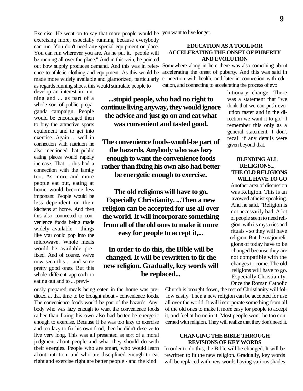Exercise. He went on to say that more people would be you want to live longer. exercising more, especially running, because everybody can run. You don't need any special equipment or place. You can run wherever you are. As he put it. "people will be running all over the place." And in this vein, he pointed out how supply produces demand. And this was in refer-Somewhere along in here there was also something about ence to athletic clothing and equipment. As this would be made more widely available and glamorized, particularly as regards running shoes, this would stimulate people to

develop an interest in running and ... as part of a whole sort of public propaganda campaign. People would be encouraged then to buy the attractive sports equipment and to get into exercise. Again ... well in connection with nutrition he also mentioned that public eating places would rapidly increase. That ... this had a connection with the family too. As more and more people eat out, eating at home would become less important. People would be less dependent on their kitchens at home. And then this also connected to convenience foods being made widely available - things like you could pop into the microwave. Whole meals would be available prefixed. And of course. we've now seen this ... and some pretty good ones. But this whole different approach to eating out and to ... previ-

ously prepared meals being eaten in the home was predicted at that time to be brought about - convenience foods. The convenience foods would be part of the hazards. Anybody who was lazy enough to want the convenience foods rather than fixing his own also had better be energetic enough to exercise. Because if he was too lazy to exercise and too lazy to fix his own food, then he didn't deserve to live very long. This was all presented as sort of a moral judgment about people and what they should do with their energies. People who are smart, who would learn about nutrition, and who are disciplined enough to eat right and exercise right are better people - and the kind

**...stupid people, who had no right to continue living anyway, they would ignore the advice and just go on and eat what was convenient and tasted good.**

**The convenience foods-would-be part of the hazards. Anybody who was lazy enough to want the convenience foods rather than fixing his own also had better be energetic enough to exercise.**

**The old religions will have to go. Especially Christianity. ...Then a new religion can be accepted for use all over the world. It will incorporate something from all of the old ones to make it more easy for people to accept it,...**

**In order to do this, the Bible will be changed. It will be rewritten to fit the new religion. Gradually, key words will be replaced...**

#### **EDUCATION AS A TOOL FOR ACCELERATING THE ONSET OF PUBERTY AND EVOLUTION**

accelerating the onset of puberty. And this was said in connection with health, and later in connection with education, and connecting to accelerating the process of evo

> lutionary change. There was a statement that "we think that we can push evolution faster and in the direction we want it to go." I remember this only as a general statement. I don't recall if any details were given beyond that.

#### **BLENDING ALL RELIGIONS... THE OLD RELIGIONS WILL HAVE TO GO**

Another area of discussion was Religion. This is an avowed atheist speaking. And he said, "Religion is not necessarily bad. A lot of people seem to need religion, with its mysteries and rituals - so they will have religion. But the major religions of today have to be changed because they are not compatible with the changes to come. The old religions will have to go. Especially Christianity. Once the Roman Catholic

Church is brought down, the rest of Christianity will follow easily. Then a new religion can be accepted for use all over the world. It will incorporate something from all of the old ones to make it more easy for people to accept it, and feel at home in it. Most people won't be too concerned with religion. They will realize that they don't need it.

#### **CHANGING THE BIBLE THROUGH REVISIONS OF KEY WORDS**

In order to do this, the Bible will be changed. It will be rewritten to fit the new religion. Gradually, key words will be replaced with new words having various shades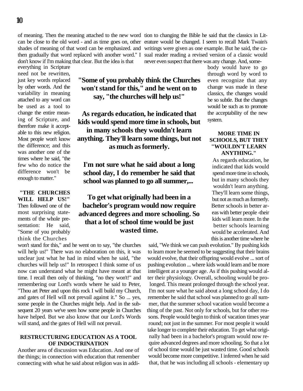of meaning. Then the meaning attached to the new word tion to changing the Bible he said that the classics in Litdon't know if I'm making that clear. But the idea is that

can be close to the old word - and as time goes on, other erature would be changed. I seem to recall Mark Twain's shades of meaning of that word can be emphasized. and writings were given as one example. But he said, the cathen gradually that word replaced with another word." I sual reader reading a revised version of a classic would never even suspect that there was any change. And, some-

system.

everything in Scripture need not be rewritten, just key words replaced by other words. And the variability in meaning attached to any word can be used as a tool to change the entire meaning of Scripture, and therefore make it acceptable to this new religion. Most people won't know the difference; and this was another one of the times where he said, "the few who do notice the difference won't be enough to matter."

**"THE CHURCHES WILL HELP US!"** Then followed one of the most surprising statements of the whole presentation: He said, "Some of you probably think the Churches

## **"Some of you probably think the Churches won't stand for this," and he went on to say, "the churches will help us!"**

**As regards education, he indicated that kids would spend more time in schools, but in many schools they wouldn't learn anything. They'll learn some things, but not as much as formerly.**

**I'm not sure what he said about a long school day, I do remember he said that school was planned to go all summer,...**

## **To get what originally had been in a bachelor's program would now require advanced degrees and more schooling. So that a lot of school time would be just wasted time.**

body would have to go through word by word to even recognize that any change was made in these classics, the changes would be so subtle. But the changes would be such as to promote the acceptability of the new

#### **MORE TIME IN SCHOOLS, BUT THEY "WOULDN'T LEARN ANYTHING."**

As regards education, he indicated that kids would spend more time in schools. but in many schools they wouldn't learn anything. They'll learn some things, but not as much as formerly. Better schools in better areas with better people -their kids will learn more. In the better schools learning would be accelerated. And this is another time where he

won't stand for this," and he went on to say, "the churches will help us!" There was no elaboration on this, it was unclear just what he had in mind when he said, "the churches will help us!" In retrospect I think some of us now can understand what he might have meant at that time. I recall then only of thinking, "no they won't!" and remembering our Lord's words where he said to Peter, "Thou art Peter and upon this rock I will build my Church, and gates of Hell will not prevail against it." So ... yes, some people in the Churches might help. And in the subsequent 20 years we've seen how some people in Churches have helped. But we also know that our Lord's Words will stand, and the gates of Hell will not prevail.

#### **RESTRUCTURING EDUCATION AS A TOOL OF INDOCTRINATION**

Another area of discussion was Education. And one of the things; in connection with education that remember connecting with what he said about religion was in addi-

said, "We think we can push evolution." By pushing kids to learn more he seemed to be suggesting that their brains would evolve, that their offspring would evolve ... sort of pushing evolution ... where kids would learn and be more intelligent at a younger age. As if this pushing would alter their physiology. Overall, schooling would be prolonged. This meant prolonged through the school year. I'm not sure what he said about a long school day, I do remember he said that school was planned to go all summer, that the summer school vacation would become a thing of the past. Not only for schools, but for other reasons. People would begin to think of vacation times year round; not just in the summer. For most people it would take longer to complete their education. To get what originally had been in a bachelor's program would now require advanced degrees and more schooling. So that a lot of school time would be just wasted time. Good schools would become more competitive. I inferred when he said that, that he was including all schools - elementary up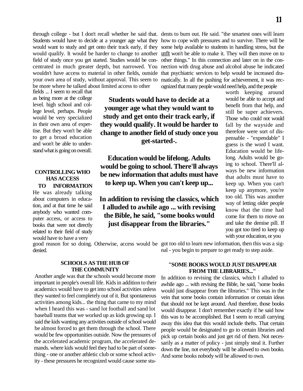Students would have to decide at a younger age what they how to cope with pressures and to survive. There will be would want to study and get onto their track early, if they some help available to students in handling stress, but the would qualify. It would be harder to change to another unfit won't be able to make it. They will then move on to field of study once you get started. Studies would be con- other things." In this connection and later on in the concentrated in much greater depth, but narrowed. You nection with drug abuse and alcohol abuse he indicated wouldn't have access to material in other fields, outside that psychiatric services to help would be increased drayour own area of study, without approval. This seem to matically. In all the pushing for achievement, it was recbe more where he talked about limited access to other

fields ... I seem to recall that as being more at the college level. high school and college level, perhaps. People would be very specialized in their own area of expertise. But they won't be able to get a broad education and won't be able to understand what is going on overall.

#### **CONTROLLING WHO HAS ACCESS**

**TO INFORMATION**  He was already talking about computers in education, and at that time he said anybody who wanted computer access, or access to books that were not directly related to their field of study would have to have a very

**Students would have to decide at a younger age what they would want to study and get onto their track early, if they would qualify. It would be harder to change to another field of study once you get-started-.**

**Education would be lifelong. Adults would be going to school. There'll always be new information that adults must have to keep up. When you can't keep up...**

**In addition to revising the classics, which I alluded to awhile ago ... with revising the Bible, he said, "some books would just disappear from the libraries."**

through college - but I don't recall whether he said that. dents to burn out. He said. "the smartest ones will learn ognized that many people would need help, and the people

> worth keeping around would be able to accept and benefit from that help, and still be super achievers. Those who could not would fall by the wayside and therefore were sort of dispensable - "expendable" I guess is the word I want. Education would be lifelong. Adults would be going to school. There'll always be new information that adults must have to keep up. When you can't keep up anymore, you're too old. This was another way of letting older people know that the time had come for them to move on and take the demise pill. If you got too tired to keep up with your education, or you

denied.

#### **SCHOOLS AS THE HUB OF THE COMMUNITY**

Another angle was that the schools would become more important in people's overall life. Kids in addition to their academics would have to get into school activities unless they wanted to feel completely out of it. But spontaneous activities among kids... the thing that came to my mind when I heard this was - sand lot football and sand lot baseball teams that we worked up as kids growing up. I said the kids wanting any activities outside of school would be almost forced to get them through the school. There would be few opportunities outside. Now the pressures of the accelerated academic program, the accelerated demands. where kids would feel they had to be part of something - one or another athletic club or some school activity - these pressures he recognized would cause some stu-

good reason for so doing. Otherwise, access would be got too old to learn new information, then this was a signal - you begin to prepare to get ready to step aside.

#### **"SOME BOOKS WOULD JUST DISAPPEAR FROM THE LIBRARIES..."**

In addition to revising the classics, which I alluded to awhile ago ... with revising the Bible, he said, "some books would just disappear from the libraries." This was in the vein that some books contain information or contain ideas that should not be kept around. And therefore, those books would disappear. I don't remember exactly if he said how this was to be accomplished. But I seem to recall carrying away this idea that this would include thefts. That certain people would be designated to go to certain libraries and pick up certain books and just get rid of them. Not necessarily as a matter of policy - just simply steal it. Further down the line, not everybody will be allowed to own books. And some books nobody will be allowed to own.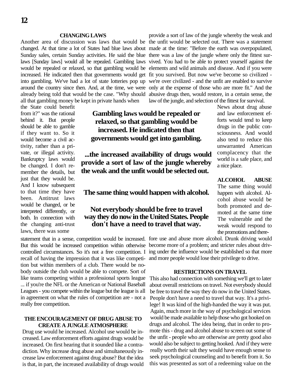#### **CHANGING LAWS**

changed. At that time a lot of States had blue laws about made at the time: "Before the earth was overpopulated, Sunday sales, certain Sunday activities. He said the blue there was a law of the jungle where only the fittest surlaws [Sunday laws] would all be repealed. Gambling laws vived. You had to be able to protect yourself against the would be repealed or relaxed, so that gambling would be elements and wild animals and disease. And if you were increased. He indicated then that governments would get fit you survived. But now we've become so civilized into gambling. We've had a lot of state lotteries pop up we're over civilized - and the unfit are enabled to survive around the country since then. And, at the time, we were only at the expense of those who are more fit." And the already being told that would be the case. "Why should abusive drugs then, would restore, in a certain sense, the all that gambling money be kept in private hands when

the State could benefit from it?" was the rational behind it. But people should be able to gamble if they want to. So it would become a civil activity, rather than a private, or illegal activity. Bankruptcy laws would be changed. I don't remember the details, but just that they would be. And I know subsequent to that time they have been. Antitrust laws would be changed, or be interpreted differently, or both. In connection with the changing anti-trust laws, there was some

## **Gambling laws would be repealed or relaxed, so that gambling would be increased. He indicated then that governments would get into gambling.**

**...the increased availability of drugs would provide a sort of law of the jungle whereby the weak and the unfit would be selected out.**

**The same thing would happen with alcohol.**

## **Not everybody should be free to travel way they do now in the United States. People don't have a need to travel that way.**

statement that in a sense, competition would be increased. fore use and abuse more alcohol. Drunk driving would But this would be increased competition within otherwise become more of a problem; and stricter rules about drivcontrolled circumstances. So it's not a free competition. I ing under the influence would be established so that more recall of having the impression that it was like competi- and more people would lose their privilege to drive. tion but within members of a club. There would be nobody outside the club would be able to compete. Sort of like teams competing within a professional sports league ... if you're the NFL or the American or National Baseball Leagues - you compete within the league but the league is all in agreement on what the rules of competition are - not a really free competition.

#### **THE ENCOURAGEMENT OF DRUG ABUSE TO CREATE A JUNGLE ATMOSPHERE**

Drug use would he increased. Alcohol use would be increased. Law enforcement efforts against drugs would be increased. On first hearing that it sounded like a contradiction. Why increase drug abuse and simultaneously increase law enforcement against drug abuse? But the idea is that, in part, the increased availability of drugs would

Another area of discussion was laws that would be the unfit would be selected out. There was a statement provide a sort of law of the jungle whereby the weak and law of the jungle, and selection of the fittest for survival.

> and law enforcement efforts would tend to keep drugs in the public consciousness. And would also tend to reduce this unwarranted American complacency that the world is a safe place, and a nice place.

News about drug abuse

**ALCOHOL ABUSE**  The same thing would happen with alcohol. Alcohol abuse would be both promoted and demoted at the same time The vulnerable and the weak would respond to the promotions and there-

#### **RESTRICTIONS ON TRAVEL**

This also had connection with something we'll get to later about overall restrictions on travel. Not everybody should be free to travel the way they do now in the United States. People don't have a need to travel that way. It's a privilege! It was kind of the high-handed the way it was put. Again, much more in the way of psychological services would be made available to help those who got hooked on drugs and alcohol. The idea being, that in order to promote this - drug and alcohol abuse to screen out some of the unfit - people who are otherwise are pretty good also would also be subject to getting hooked. And if they were really worth their salt they would have enough sense to seek psychological counseling and to benefit from it. So this was presented as sort of a redeeming value on the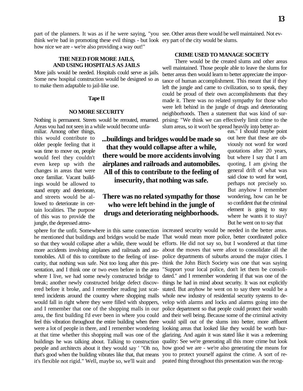think we're bad in promoting these evil things - but look ery part of the city would be slums. how nice we are - we're also providing a way out!"

#### **THE NEED FOR MORE JAILS, AND USING HOSPITALS AS JAILS**

More jails would be needed. Hospitals could serve as jails. Some new hospital construction would be designed so as to make them adaptable to jail-like use.

#### **Tape II**

#### **NO MORE SECURITY**

Nothing is permanent. Streets would be rerouted, renamed. Areas you had not seen in a while would become unfa- miliar. Among other things,

this would contribute to older people feeling that it was time to move on, people would feel they couldn't even keep up with the changes in areas that were once familiar. Vacant buildings would be allowed to stand empty and deteriorate, and streets would be allowed to deteriorate in certain localities. The purpose of this was to provide the jungle, the depressed atmo-

sphere for the unfit. Somewhere in this same connection increased security would be needed in the better areas. it's flexible not rigid." Well, maybe so, we'll wait and

**...buildings and bridges would be made so that they would collapse after a while, there would be more accidents involving airplanes and railroads and automobiles. All of this to contribute to the feeling of insecurity, that nothing was safe.**

## **There was no related sympathy for those who were left behind in the jungle of drugs and deteriorating neighborhoods.**

part of the planners. It was as if he were saying, "you see. Other areas there would be well maintained. Not ev-

#### **CRIME USED TO MANAGE SOCIETY**

There would be the created slums and other areas well maintained. Those people able to leave the slums for better areas then would learn to better appreciate the importance of human accomplishment. This meant that if they left the jungle and came to civilization, so to speak, they could be proud of their own accomplishments that they made it. There was no related sympathy for those who were left behind in the jungle of drugs and deteriorating neighborhoods. Then a statement that was kind of surprising: "We think we can effectively limit crime to the slum areas, so it won't be spread heavily into better ar- eas." I should maybe point

out here that these are obviously not word for word quotations after 20 years, but where I say that I am quoting, I am giving the general drift of what was said close to word for word, perhaps not precisely so. But anyhow I remember wondering, how can he be so confident that the criminal element is going to stay where he wants it to stay? But he went on to say that

he mentioned that buildings and bridges would be made That would mean more police, better coordinated police so that they would collapse after a while, there would be efforts. He did not say so, but I wondered at that time more accidents involving airplanes and railroads and au-about the moves that were afoot to consolidate all the tomobiles. All of this to contribute to the feeling of inse-police departments of suburbs around the major cities. I curity, that nothing was safe. Not too long after this pre-think the John Birch Society was one that was saying sentation, and I think one or two even before in the area "Support your local police, don't let them be consoliwhere I live, we had some newly constructed bridge to dated." and I remember wondering if that was one of the break; another newly constructed bridge defect discov-things he had in mind about security. It was not explicitly ered before it broke, and I remember reading just scat-stated. But anyhow he went on to say there would be a tered incidents around the country where shopping malls whole new industry of residential security systems to dewould fall in right where they were filled with shoppers, velop with alarms and locks and alarms going into the and I remember that one of the shopping malls in our police department so that people could protect their wealth area, the first building I'd ever been in where you could and their well being. Because some of the criminal activity feel this vibration throughout the entire building when there would spill out of the slums into better, more affluent were a lot of people in there, and I remember wondering looking areas that looked like they would be worth burat that time whether this shopping mall was one of the glarizing. And again it was stated like it was a redeeming buildings he was talking about. Talking to construction quality: See we're generating all this more crime but look people and architects about it they would say ' "Oh no, how good we are - we're also generating the means for that's good when the building vibrates like that, that means you to protect yourself against the crime. A sort of repeated thing throughout this presentation was the recog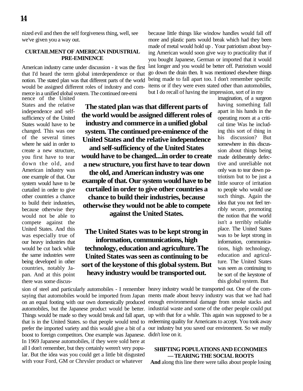nized evil and then the self forgiveness thing, well, see we've given you a way out.

#### **CURTAILMENT OF AMERICAN INDUSTRIAL PRE-EMINENCE**

American industry came under discussion - it was the first that I'd heard the term global interdependence or that notion. The stated plan was that different parts of the world would be assigned different roles of industry and commerce in a unified global system. The continued pre-emi

nence of the United States and the relative independence and selfsufficiency of the United States would have to be changed. This was one of the several times where he said in order to create a new structure, you first have to tear down the old, and American industry was one example of that. Our system would have to be curtailed in order to give other countries a chance to build their industries, because otherwise they would not be able to compete against the United States. And this was especially true of our heavy industries that would be cut back while the same industries were being developed in other countries, notably Japan. And at this point there was some discus-

**The stated plan was that different parts of the world would be assigned different roles of industry and commerce in a unified global system. The continued pre-eminence of the United States and the relative independence and self-sufficiency of the United States would have to be changed....in order to create a new structure, you first have to tear down the old, and American industry was one example of that. Our system would have to be curtailed in order to give other countries a chance to build their industries, because otherwise they would not be able to compete against the United States.**

**The United States was to be kept strong in information, communications, high technology, education and agriculture. The United States was seen as continuing to be sort of the keystone of this global system. But heavy industry would be transported out.**

but I do recall of having the impression, sort of in my imagination, of a surgeon having something fall apart in his hands in the operating room at a critical time Was he including this sort of thing in his discussion? But somewhere in this discussion about things being made deliberately defective and unreliable not only was to tear down patriotism but to be just a little source of irritation to people who would use such things. Again the idea that you not feel terribly secure, promoting the notion that the world isn't a terribly reliable place. The United States was to be kept strong in information, communications, high technology, education and agriculture. The United States was seen as continuing to be sort of the keystone of this global system. But

saying that automobiles would be imported from Japan ments made about heavy industry was that we had had on an equal footing with our own domestically produced enough environmental damage from smoke stacks and automobiles, but the Japanese product would be better. Things would be made so they would break and fall apart, that is in the United States. so that people would tend to redeeming quality for Americans to accept. You took away prefer the imported variety and this would give a bit of a our industry but you saved our environment. So we really boost to foreign competitors. One example was Japanese. didn't lose on it. In 1969 Japanese automobiles, if they were sold here at all I don't remember, but they certainly weren't very popular. But the idea was you could get a little bit disgusted with your Ford, GM or Chrysler product or whatever

sion of steel and particularly automobiles - I remember heavy industry would be transported out. One of the comindustrial waste and some of the other people could put up with that for a while. This again was supposed to be a

because little things like window handles would fall off more and plastic parts would break which had they been made of metal would hold up . Your patriotism about buying American would soon give way to practicality that if you bought Japanese, German or imported that it would last longer and you would be better off. Patriotism would go down the drain then. It was mentioned elsewhere things being made to fall apart too. I don't remember specific items or if they were even stated other than automobiles,

## **SHIFTING POPULATIONS AND ECONOMIES — TEARING THE SOCIAL ROOTS**

**And** along this line there were talks about people losing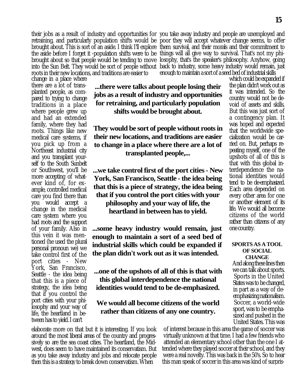roots in their new locations, and traditions are easier to

their jobs as a result of industry and opportunities for you take away industry and people are unemployed and retraining, and particularly population shifts would be poor they will accept whatever change seems, to offer brought about. This is sort of an aside. I think I'll explore them survival, and their morals and their commitment to the aside before I forget it -population shifts were to be things will all give way to survival. That's not my phibrought about so that people would be tending to move losophy, that's the speaker's philosophy. Anyhow, going into the Sun Belt. They would be sort of people without back to industry, some heavy industry would remain, just enough to maintain a sort of a seed bed of industrial skills which could be expanded if

change in a place where there are a lot of transplanted people, as compared to trying to change traditions in a place where people grew up and had an extended family, where they had roots. Things like new medical care systems, if you pick up from a Northeast industrial city and you transplant yourself to the South Sunbelt or Southwest, you'll be more accepting of whatever kind of, for example, controlled medical care you find there than you would accept a change in the medical care system where you had roots and the support of your family. Also in this vein it was mentioned (he used the plural personal pronoun we) we take control first of the port cities - New York, San Francisco, Seattle - the idea being that this is a piece of strategy, the idea being that if you control the port cities with your philosophy and your way of life, the heartland in between has to yield. I can't

**...there were talks about people losing their jobs as a result of industry and opportunities for retraining, and particularly population shifts would be brought about.**

**They would be sort of people without roots in their new locations, and traditions are easier to change in a place where there are a lot of transplanted people,...**

**...we take control first of the port cities - New York, San Francisco, Seattle - the idea being that this is a piece of strategy, the idea being that if you control the port cities with your philosophy and your way of life, the heartland in between has to yield.**

**...some heavy industry would remain, just enough to maintain a sort of a seed bed of industrial skills which could be expanded if the plan didn't work out as it was intended.**

**...one of the upshots of all of this is that with this global interdependence the national identities would tend to be de-emphasized.**

## **We would all become citizens of the world rather than citizens of any one country.**

elaborate more on that but it is interesting. If you look around the most liberal areas of the country and progressively so are the sea coast cities. The heartland, the Midwest, does seem to have maintained its conservatism. But as you take away industry and jobs and relocate people then this is a strategy to break down conservatism. When

of interest because in this area the game of soccer was virtually unknown at that time. I had a few friends who attended an elementary school other than the one I attended where they played soccer at their school, and they were a real novelty. This was back in the 50's. So to hear this man speak of soccer in this area was kind of surpris-

the plan didn't work out as it was intended. So the country would not be devoid of assets and skills. But this was just sort of a contingency plan. It was hoped and expected that the worldwide specialization would be carried on. But, perhaps repeating myself, one of the upshots of all of this is that with this global interdependence the national identities would tend to be de-emphasized. Each area depended on every other area for one or another element of its life. We would all become citizens of the world rather than citizens of any one country.

#### **SPORTS AS A TOOL OF SOCIAL CHANGE**

And along these lines then we can talk about sports. Sports in the United States was to be changed, in part as a way of deemphasizing nationalism. Soccer, a world-wide sport, was to be emphasized and pushed in the United States. This was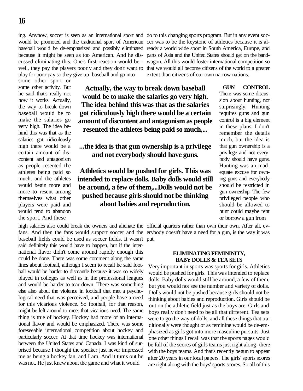ing. Anyhow, soccer is seen as an international sport and do to this changing sports program. But in any event socplay for poor pay so they give up- baseball and go into

would be promoted and the traditional sport of American cer was to be the keystone of athletics because it is albaseball would be de-emphasized and possibly eliminated ready a world wide sport in South America, Europe, and because it might be seen as too American. And he dis-parts of Asia and the United States should get on the bandcussed eliminating this. One's first reaction would be - wagon. All this would foster international competition so well, they pay the players poorly and they don't want to that we would all become citizens of the world to a greater extent than citizens of our own narrow nations.

some other sport or some other activity. But he said that's really not how it works. Actually, the way to break down baseball would be to make the salaries go very high. The idea behind this was that as the salaries got ridiculously high there would be a certain amount of discontent and antagonism as people resented the athletes being paid so much, and the athletes would begin more and more to resent among themselves what other players were paid and would tend to abandon the sport. And these

baseball fields could be used as soccer fields. It wasn't put. said definitely this would have to happen, but if the international flavor didn't come around rapidly enough this could be done. There was some comment along the same lines about football, although I seem to recall he said football would be harder to dismantle because it was so widely played in colleges as well as in the professional leagues and would be harder to tear down. There was something else also about the violence in football that met a psychological need that was perceived, and people have a need for this vicarious violence. So football, for that reason, might be left around to meet that vicarious need. The same thing is true of hockey. Hockey had more of an international flavor and would be emphasized. There was some foreseeable international competition about hockey and particularly soccer. At that time hockey was international between the United States and Canada. I was kind of surprised because I thought the speaker just never impressed me as being a hockey fan, and I am. And it turns out he was not. He just knew about the game and what it would

**Actually, the way to break down baseball would be to make the salaries go very high. The idea behind this was that as the salaries got ridiculously high there would be a certain amount of discontent and antagonism as people resented the athletes being paid so much,...**

**...the idea is that gun ownership is a privilege and not everybody should have guns.**

**Athletics would be pushed for girls. This was intended to replace dolls. Baby dolls would still be around, a few of them,...Dolls would not be pushed because girls should not be thinking about babies and reproduction.**

**GUN CONTROL**  There was some discussion about hunting, not surprisingly. Hunting requires guns and gun control is a big element in these plans. I don't remember the details much, but the idea is that gun ownership is a privilege and not everybody should have guns. Hunting was an inadequate excuse for owning guns and everybody should be restricted in gun ownership. The few privileged people who should be allowed to hunt could maybe rent or borrow a gun from

high salaries also could break the owners and alienate the official quarters rather than own their own. After all, evfans. And then the fans would support soccer and the erybody doesn't have a need for a gun, is the way it was

#### **ELIMINATING FEMININITY, BABY DOLLS & TEA SETS**

Very important in sports was sports for girls. Athletics would be pushed for girls. This was intended to replace dolls. Baby dolls would still be around, a few of them, but you would not see the number and variety of dolls. Dolls would not be pushed because girls should not be thinking about babies and reproduction. Girls should be out on the athletic field just as the boys are. Girls and boys really don't need to be all that different. Tea sets were to go the way of dolls, and all these things that traditionally were thought of as feminine would be de-emphasized as girls got into more masculine pursuits. Just one other things I recall was that the sports pages would be full of the scores of girls teams just right along- there with the boys teams. And that's recently begun to appear after 20 years in our local papers. The girls' sports scores are right along with the boys' sports scores. So all of this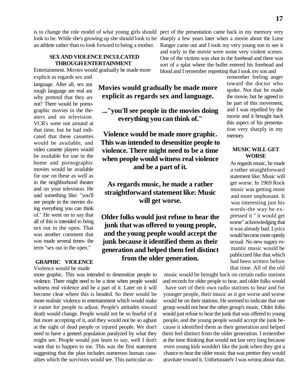an athlete rather than to look forward to being a mother.

#### **SEX AND VIOLENCE INCULCATED THROUGH ENTERTAINMENT**

Entertainment. Movies would gradually be made more explicit as regards sex and

language. After all, sex and rough language are real and why pretend that they are not? There would be pornographic movies in the theaters and on television. VCR's were not around at that time, but he had indicated that these cassettes would be available, and video cassette players would be available for use in the home and pornographic movies would be available for use on these as well as in the neighborhood theater and on your television. He said something like: "you'll see people in the movies doing everything you can think of." He went on to say that all of this is intended to bring sex out in the open. That was another comment that was made several times- the term "sex out in the open."

#### **GRAPHIC VIOLENCE**

Violence would be made

more graphic. This was intended to desensitize people to violence. There might need to be a time when people would witness real violence and be a part of it. Later on it will become clear where this is headed. So there would be more realistic violence in entertainment which would make it easier for people to adjust. People's attitudes toward death would change. People would not be so fearful of it but more accepting of it, and they would not be so aghast at the sight of dead people or injured people. We don't need to have a genteel population paralyzed by what they might see. People would just learn to say, well I don't want that to happen to me. This was the first statement suggesting that the plan includes numerous human casualties which the survivors would see. This particular as-

is to change the role model of what young girls should pect of the presentation came back in my memory very look to be. While she's growing up she should look to be sharply a few years later when a movie about the Lone Ranger came out and I took my very young son to see it and early in the movie were some very violent scenes. One of the victims was shot in the forehead and there was sort of a splat where the bullet entered his forehead and blood and I remember regretting that I took my son and

> **Movies would gradually be made more explicit as regards sex and language.**

**..."you'll see people in the movies doing everything you can think of."**

**Violence would be made more graphic. This was intended to desensitize people to violence. There might need to be a time when people would witness real violence and be a part of it.**

**As regards music, he made a rather straightforward statement like: Music will get worse.**

**Older folks would just refuse to hear the junk that was offered to young people, and the young people would accept the junk because it identified them as their generation and helped them feel distinct from the older generation.**

remember feeling anger toward the doctor who spoke. Not that he made the movie, but he agreed to be part of this movement, and I was repelled by the movie and it brought back this aspect of his presentation very sharply in my memory.

#### **MUSIC WILL GET WORSE**

As regards music, he made a rather straightforward statement like: Music will get worse. In 1969 Rock music was getting more and more unpleasant. It was interesting just his words-the way he expressed it " it would get worse" acknowledging that it was already bad. Lyrics would become more openly sexual. No new sugary romantic music would be publicized like that which had been written before that time. All of the old

music would be brought back on certain radio stations and records for older people to hear, and older folks would have sort of their own radio stations to hear and for younger people, their music as it got worse and worse would be on their stations. He seemed to indicate that one group would not hear the other group's music. Older folks would just refuse to hear the junk that was offered to young people, and the young people would accept the junk because it identified them as their generation and helped them feel distinct from the older generation. I remember at the time thinking that would not last very long because even young kids wouldn't like the junk when they got a chance to hear the older music that was prettier they would gravitate toward it. Unfortunately I was wrong about that,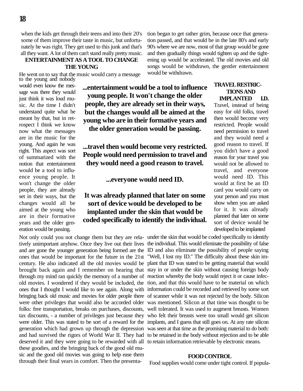when the kids get through their teens and into their 20's some of them improve their taste in music, but unfortunately he was right. They get used to this junk and that's all they want. A lot of them can't stand really pretty music.

#### **ENTERTAINMENT AS A TOOL TO CHANGE THE YOUNG**

He went on to say that the music would carry a message

to the young and nobody would even know the message was there they would just think it was loud music. At the time I didn't understand quite what he meant by that, but in retrospect I think we know now what the messages are in the music for the young. And again he was right. This aspect was sort of summarized with the notion that entertainment would be a tool to influence young people. It won't change the older people, they are already set in their ways, but the changes would all be aimed at the young who are in their formative years and the older generation would be passing.

**...entertainment would be a tool to influence young people. It won't change the older people, they are already set in their ways, but the changes would all be aimed at the young who are in their formative years and the older generation would be passing.**

**...travel then would become very restricted. People would need permission to travel and they would need a good reason to travel.**

## **...everyone would need ID.**

**It was already planned that later on some sort of device would be developed to be implanted under the skin that would be coded specifically to identify the individual.**

Not only could you not change them but they are rela-under the skin that would be coded specifically to identify tively unimportant anyhow. Once they live out their lives the individual. This would eliminate the possibility of false and are gone the younger generation being formed are the ID and also eliminate the possibility of people saying ones that would be important for the future in the 21st "Well, I lost my ID." The difficulty about these skin imcentury. He also indicated all the old movies would be plant that ID was stated to be getting material that would brought back again and I remember on hearing that stay in or under the skin without causing foreign body through my mind ran quickly the memory of a number of reaction whereby the body would reject it or cause infecold movies. I wondered if they would be included, the tion, and that this would have to be material on which ones that I thought I would like to see again. Along with information could be recorded and retrieved by some sort bringing back old music and movies for older people there of scanner while it was not rejected by the body. Silicon were other privileges that would also be accorded older was mentioned. Silicon at that time was thought to be folks: free transportation, breaks on purchases, discounts, well tolerated. It was used to augment breasts. Women tax discounts, - a number of privileges just because they who felt their breasts were too small would get silicon were older. This was stated to be sort of a reward for the implants, and I guess that still goes on. At any rate silicon generation which had grown up through the depression was seen at that time as the promising material to do both: and had survived the rigors of World War II. They had to be retained in the body without rejection and to be able deserved it and they were going to be rewarded with all to retain information retrievable by electronic means. these goodies, and the bringing back of the good old music and the good old movies was going to help ease them through their final years in comfort. Then the presenta-

tion began to get rather grim, because once that generation passed, and that would be in the late 80's and early 90's where we are now, most of that group would be gone and then gradually things would tighten up and the tightening up would be accelerated. The old movies and old songs would be withdrawn, the gentler entertainment would be withdrawn.

## **TRAVEL RESTRIC-TIONS AND**

**IMPLANTED I.D.**  Travel, instead of being easy for old folks, travel then would become very restricted. People would need permission to travel and they would need a good reason to travel. If you didn't have a good reason for your travel you would not be allowed to travel, and everyone would need ID. This would at first be an ID card you would carry on your person and you must show when you are asked for it. It was already planned that later on some sort of device would be developed to be implanted

#### **FOOD CONTROL**

Food supplies would come under tight control. If popula-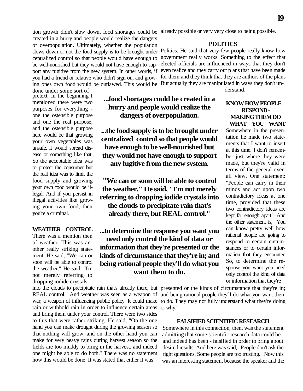tion growth didn't slow down, food shortages could be already possible or very very close to being possible. created in a hurry and people would realize the dangers of overpopulation. Ultimately, whether the population slows down or not the food supply is to be brought under Politics. He said that very few people really know how centralized control so that people would have enough to government really works. Something to the effect that be well-nourished but they would not have enough to support any fugitive from the new system. In other words, if even realize and they carry out plans that have been made you had a friend or relative who didn't sign on, and grow-for them and they think that they are authors of the plans

done under some sort of pretext. In the beginning I mentioned there were two purposes for everything one the ostensible purpose and one the real purpose, and the ostensible purpose here would be that growing your own vegetables was unsafe, it would spread disease or something like that. So the acceptable idea was to protect the consumer but the real idea was to limit the food supply and growing your own food would be illegal. And if you persist in illegal activities like growing your own food, then you're a criminal.

#### **WEATHER CONTROL**

There was a mention then of weather. This was another really striking statement. He said, "We can or soon will be able to control the weather." He said, "I'm not merely referring to dropping iodide crystals

rain or withhold rain in order to influence certain areas or why." and bring them under your control. There were two sides to this that were rather striking. He said, "On the one hand you can make drought during the growing season so that nothing will grow, and on the other hand you can make for very heavy rains during harvest season so the fields are too muddy to bring in the harvest, and indeed one might be able to do both." There was no statement how this would be done. It was stated that either it was

#### **POLITICS**

ing ones own food would be outlawed. This would be But actually they are manipulated in ways they don't unelected officials are influenced in ways that they don't

> **...food shortages could be created in a hurry and people would realize the dangers of overpopulation.**

**...the food supply is to be brought under centralized\_control so that people would have enough to be well-nourished but they would not have enough to support any fugitive from the new system.**

**"We can or soon will be able to control the weather." He said, "I'm not merely referring to dropping iodide crystals into the clouds to precipitate rain that's already there, but REAL control."**

**...to determine the response you want you need only control the kind of data or information that they're presented or the kinds of circumstance that they're in; and being rational people they'll do what you want them to do.**

derstand.

#### **KNOW HOW PEOPLE RESPOND - MAKING THEM DO WHAT YOU WANT**

Somewhere in the presentation he made two statements that I want to insert at this time. I don't remember just where they were made, but they're valid in terms of the general overall view. One statement: "People can carry in their minds and act upon two contradictory ideas at one time, provided that these two contradictory ideas are kept far enough apart." And the other statement is, "You can know pretty well how rational people are going to respond to certain circumstances or to certain information that they encounter. So, to determine the response you want you need only control the kind of data or information that they're

into the clouds to precipitate rain that's already there, but presented or the kinds of circumstance that they're in; REAL control." And weather was seen as a weapon of and being rational people they'll do what you want them war, a weapon of influencing public policy. It could make to do. They may not fully understand what they're doing

#### **FALSIFIED SCIENTIFIC RESEARCH**

Somewhere in this connection, then, was the statement admitting that some scientific research data could be and indeed has been - falsified in order to bring about desired results. And here was said, "People don't ask the right questions. Some people are too trusting." Now this was an interesting statement because the speaker and the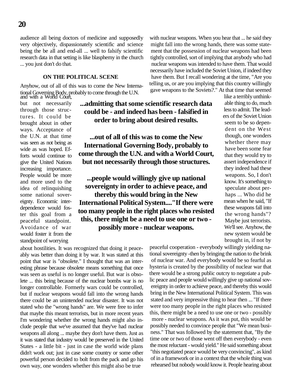audience all being doctors of medicine and supposedly very objectively, dispassionately scientific and science being the be all and end-all ... well to falsify scientific research data in that setting is like blasphemy in the church ... you just don't do that.

#### **ON THE POLITICAL SCENE**

Anyhow, out of all of this was to come the New International Governing Body, probably to come through the U.N. and with a World Court,

but not necessarily through those structures. It could be brought about in other ways. Acceptance of the U.N. at that time was seen as not being as wide as was hoped. Efforts would continue to give the United Nations increasing importance. People would be more and more used to the idea of relinquishing some national sovereignty. Economic interdependence would foster this goal from a peaceful standpoint.. Avoidance of war would foster it from the standpoint of worrying

**...admitting that some scientific research data could be - and indeed has been - falsified in order to bring about desired results.**

**...out of all of this was to come the New International Governing Body, probably to come through the U.N. and with a World Court, but not necessarily through those structures.**

**...people would willingly give up national sovereignty in order to achieve peace, and thereby this would bring in the New International Political System...."If there were too many people in the right places who resisted this, there might be a need to use one or two possibly more - nuclear weapons.**

with nuclear weapons. When you hear that ... he said they might fall into the wrong hands, there was some statement that the possession of nuclear weapons had been tightly controlled, sort of implying that anybody who had nuclear weapons was intended to have them. That would necessarily have included the Soviet Union, if indeed they have them. But I recall wondering at the time, "Are you telling us, or are you implying that this country willingly gave weapons to the Soviets?." At that time that seemed

> like a terribly unthinkable thing to do, much less to admit. The leaders of the Soviet Union seem to be so dependent on the West though, one wonders whether there may have been some fear that they would try to assert independence if they indeed had these weapons. So, I don't know. It's something to speculate about perhaps ... Who did he mean when he said, "If these weapons fall into the wrong hands"? Maybe just terrorists. We'll see. Anyhow, the new system would be brought in, if not by

about hostilities. It was recognized that doing it peaceably was better than doing it by war. It was stated at this point that war is "obsolete." I thought that was an interesting phrase because obsolete means something that once was seen as useful is no longer useful. But war is obsolete ... this being because of the nuclear bombs war is no longer controllable. Formerly wars could be controlled, but if nuclear weapons would fall into the wrong hands there could be an unintended nuclear disaster. It was not stated who the "wrong hands" are. We were free to infer that maybe this meant terrorists, but in more recent years I'm wondering whether the wrong hands might also include people that we've assumed that they've had nuclear weapons all along ... maybe they don't have them. Just as it was stated that industry would be preserved in the United States - a little bit - just in case the world wide plans didn't work out; just in case some country or some other powerful person decided to bolt from the pack and go his own way, one wonders whether this might also be true

peaceful cooperation - everybody willingly yielding national sovereignty -then by bringing the nation to the brink of nuclear war. And everybody would be so fearful as hysteria is created by the possibility of nuclear war that there would be a strong public outcry to negotiate a public peace and people would willingly give up national sovereignty in order to achieve peace, and thereby this would bring in the New International Political System. This was stated and very impressive thing to hear then ... "If there were too many people in the right places who resisted this, there might be a need to use one or two - possibly more - nuclear weapons. As it was put, this would be possibly needed to convince people that "We mean business." That was followed by the statement that, "By the time one or two of those went off then everybody - even the most reluctant - would yield." He said something about "this negotiated peace would be very convincing", as kind of in a framework or in a context that the whole thing was rehearsed but nobody would know it. People hearing about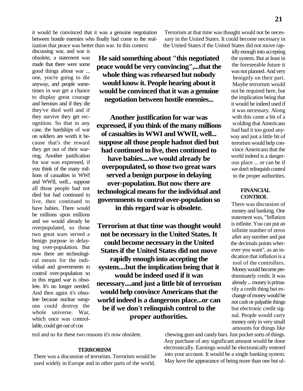it would be convinced that it was a genuine negotiation between hostile enemies who finally had come to the realization that peace was better than war. In this context

discussing war, and war is obsolete, a statement was made that there were some good things about war ... one, you're going to die anyway, and people sometimes in war get a chance to display great courage and heroism and if they die they've died well and if they survive they get recognition. So that in any case, the hardships of war on soldiers are worth it because that's the reward they get out of their warring. Another justification for war was expressed, if you think of the many millions of casualties in WWI and WWII, well... suppose all those people had not died but had continued to live, then continued to have babies. There would be millions upon millions and we would already be overpopulated, so those two great wars served a benign purpose in delaying over-population. But now there are technological means for the individual and governments to control over-population so in this regard war is obsolete. It's no longer needed. And then again it's obsolete because nuclear weapons could destroy the whole universe. War, which once was controllable, could get out of con

the United States if the United States did not move rap-**He said something about "this negotiated peace would be very convincing",...that the whole thing was rehearsed but nobody would know it. People hearing about it**

**would be convinced that it was a genuine negotiation between hostile enemies...**

**Another justification for war was expressed, if you think of the many millions of casualties in WWI and WWII, well...** suppose all those people hadnot died but **had continued to live, then continued to have babies....we would already be overpopulated, so those two great wars served a benign purpose in delaying over-population. But now there are technological means for the individual and governments to control over-population so in this regard war is obsolete.**

**Terrorism at that time was thought would not be necessary in the United States. It could become necessary in the United States if the United States did not move rapidly enough into accepting the system....but the implication being that it would be indeed used if it was necessary....and just a little bit of terrorism would help convince Americans that the world indeed is a dangerous place...or can be if we don't relinquish control to the**

**proper authorities.**

idly enough into accepting the system. But at least in the foreseeable future it was not planned. And very benignly on their part. Maybe terrorism would not be required here, but the implication being that it would be indeed used if it was necessary. Along with this came a bit of a scolding that Americans had had it too good anyway and just a little bit of terrorism would help convince Americans that the world indeed is a dangerous place ... or can be if we don't relinquish control to the proper authorities.

Terrorism at that time was thought would not be necessary in the United States. It could become necessary in

#### **FINANCIAL CONTROL**

There was discussion of money and banking. One statement was, "Inflation is infinite. You can put an infinite number of zeros after any number and put the decimals points wherever you want", as an indication that inflation is a tool of the controllers. Money would become predominately credit. It was already ... money is primarily a credit thing but exchange of money would be not cash or palpable things but electronic credit signal. People would carry money only in very small amounts for things like

trol and so for these two reasons it's now obsolete.

#### **TERRORISM**

There was a discussion of terrorism. Terrorism would be used widely in Europe and in other parts of the world.

chewing gum and candy bars. Just pocket sorts of things. Any purchase of any significant amount would be done electronically. Earnings would be electronically entered into your account. It would be a single banking system. May have the appearance of being more than one but ul-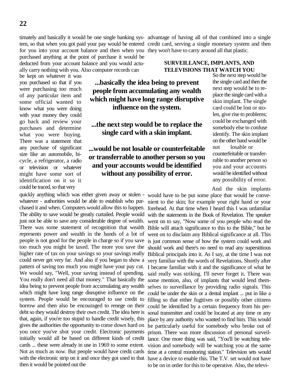timately and basically it would be one single banking sys-advantage of having all of that combined into a single tem, so that when you got paid your pay would be entered credit card, serving a single monetary system and then for you into your account balance and then when you they won't have to carry around all that plastic. purchased anything at the point of purchase it would be deducted from your account balance and you would actually carry nothing with you. Also computer records can

be kept on whatever it was you purchased so that if you were purchasing too much of any particular item and some official wanted to know what you were doing with your money they could go back and review your purchases and determine what you were buying. There was a statement that any purchase of significant size like an automobile, bicycle, a refrigerator, a radio or television or whatever might have some sort of identification on it so it could be traced, so that very

## **...basically the idea being to prevent people from accumulating any wealth which might have long range disruptive influence on the system.**

## **...the next step would be to replace the single card with a skin implant.**

**...would be not losable or counterfeitable or transferrable to another person so you and your accounts would be identified without any possibility of error.**

**TELEVISIONS THAT WATCH YOU** So the next step would be the single card and then the next step would be to replace the single card with a skin implant. The single card could be lost or stolen, give rise to problems; could be exchanged with somebody else to confuse identify. The skin implant on the other hand would be not losable or counterfeitable or transferrable to another person so you and your accounts would be identified without any possibility of error.

**SURVEILLANCE, IMPLANTS, AND**

And the skin implants

quickly anything which was either given away or stolen - would have to be put some place that would be convewith the electronic strip on it and once they got used to that have a device to enable this. The T.V. set would not have nient to the skin; for example your right hand or your forehead. At that time when I heard this I was unfamiliar with the statements in the Book of Revelation. The speaker went on to say, "Now some of you people who read the Bible will attach significance to this to the Bible," but he went on to disclaim any Biblical significance at all. This is just common sense of how the system could work and should work and there's no need to read any superstitious Biblical principals into it. As I say, at the time I was not very familiar with the words of Revelations. Shortly after I became familiar with it and the significance of what he said really was striking. I'll never forget it. There was some mention, also, of implants that would lend themselves to surveillance by providing radio signals. This could be under the skin or a dental implant ... put in like a filling so that either fugitives or possibly other citizens could be identified by a certain frequency from his personal transmitter and could be located at any time or any place by any authority who wanted to find him. This would be particularly useful for somebody who broke out of prison. There was more discussion of personal surveillance. One more thing was said, "You'll be watching television and somebody will be watching you at the same time at a central monitoring station." Television sets would to be on in order for this to be operative. Also, the televi-

whatever - authorities would be able to establish who purchased it and when. Computers would allow this to happen. The ability to save would be greatly curtailed. People would just not be able to save any considerable degree of wealth. There was some statement of recognition that wealth represents power and wealth in the hands of a lot of people is not good for the people in charge so if you save too much you might be taxed. The more you save the higher rate of tax on your savings so your savings really could never get very far. And also if you began to show a pattern of saving too much you might have your pay cut. We would say, "Well, your saving instead of spending. You really don't need all that money." That basically the idea being to prevent people from accumulating any wealth which might have long range disruptive influence on the system. People would be encouraged to use credit to borrow and then also be encouraged to renege on their debt so they would destroy their own credit. The idea here is that, again, if you're too stupid to handle credit wisely, this gives the authorities the opportunity to come down hard on you once you've shot your credit. Electronic payments initially would all be based on different kinds of credit cards ... these were already in use in 1969 to some extent. Not as much as now. But people would have credit cards then it would be pointed out the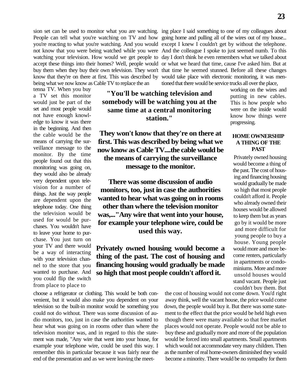being what we now know as Cable TV to replace the an

sion set can be used to monitor what you are watching. ing place I said something to one of my colleagues about People can tell what you're watching on TV and how going home and pulling all of the wires out of my house... you're reacting to what you're watching. And you would except I knew I couldn't get by without the telephone. not know that you were being watched while you were And the colleague I spoke to just seemed numb. To this watching your television. How would we get people to day I don't think he even remembers what we talked about accept these things into their homes? Well, people would or what we heard that time, cause I've asked him. But at buy them when they buy their own television. They won't that time he seemed stunned. Before all these changes know that they're on there at first. This was described by would take place with electronic monitoring, it was mentioned that there would be service trucks all over the place,

tenna TV. When you buy a TV set this monitor would just be part of the set and most people would not have enough knowledge to know it was there in the beginning. And then the cable would be the means of carrying the surveillance message to the monitor. By the time people found out that this monitoring was going on, they would also be already very dependent upon television for a number of things. Just the way people are dependent upon the telephone today. One thing the television would be used for would be purchases. You wouldn't have to leave your home to purchase. You just turn on your TV and there would be a way of interacting with your television channel to the store that you wanted to purchase. And you could flip the switch from place to place to

**"You'll be watching television and somebody will be watching you at the same time at a central monitoring station."**

**They won't know that they're on there at first. This was described by being what we now know as Cable TV....the cable would be the means of carrying the surveillance message to the monitor.**

**There was some discussion of audio monitors, too, just in case the authorities wanted to hear what was going on in rooms other than where the television monitor was,..."Any wire that went into your house, for example your telephone wire, could be used this way.**

**Privately owned housing would become a thing of the past. The cost of housing and financing housing would gradually be made so high that most people couldn't afford it.**

choose a refrigerator or clothing. This would be both convenient, but it would also make you dependent on your television so the built-in monitor would be something you could not do without. There was some discussion of audio monitors, too, just in case the authorities wanted to hear what was going on in rooms other than where the television monitor was, and in regard to this the statement was made, "Any wire that went into your house, for example your telephone wire, could be used this way. I remember this in particular because it was fairly near the end of the presentation and as we were leaving the meet-

the cost of housing would not come down. You'd right away think, well the vacant house, the price would come down, the people would buy it. But there was some statement to the effect that the price would be held high even though there were many available so that free market places would not operate. People would not be able to buy these and gradually more and more of the population would be forced into small apartments. Small apartments which would not accommodate very many children. Then as the number of real home-owners diminished they would become a minority. There would be no sympathy for them

working on the wires and putting in new cables. This is how people who were on the inside would know how things were progressing.

#### **HOME OWNERSHIP A THING OF THE PAST**

Privately owned housing would become a thing of the past. The cost of housing and financing housing would gradually be made so high that most people couldn't afford it. People who already owned their houses would be allowed to keep them but as years go by it would be more and more difficult for young people to buy a house. Young people would more and more become renters, particularly in apartments or condominiums. More and more unsold houses would stand vacant. People just couldn't buy them. But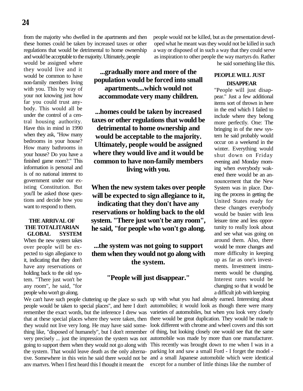from the majority who dwelled in the apartments and then these homes could be taken by increased taxes or other regulations that would be detrimental to home ownership and would be acceptable to the majority. Ultimately, people

would be assigned where they would live and it would be common to have non-family members living with you. This by way of your not knowing just how far you could trust anybody. This would all be under the control of a central housing authority. Have this in mind in 1990 when they ask, "How many bedrooms in your house? How many bathrooms in your house? Do you have a finished game room?." This information is personal and is of no national interest to government under our existing Constitution. But you'll be asked those questions and decide how you want to respond to them.

## **THE ARRIVAL OF THE TOTALITARIAN GLOBAL SYSTEM**

When the new system takes over people will be expected to sign allegiance to it, indicating that they don't have any reservations or holding back to the old system. "There just won't be any room", he said, "for people who won't go along.

**...gradually more and more of the population would be forced into small apartments....which would not accommodate very many children.**

**...homes could be taken by increased taxes or other regulations that would be detrimental to home ownership and would be acceptable to the majority. Ultimately, people would be assigned where they would live and it would be common to have non-family members living with you.**

**When the new system takes over people will be expected to sign allegiance to it, indicating that they don't have any reservations or holding back to the old system. "There just won't be any room", he said, "for people who won't go along.**

**...the system was not going to support them when they would not go along with the system.**

## **"People will just disappear."**

We can't have such people cluttering up the place so such up with what you had already earned. Interesting about people would be taken to special places", and here I don't automobiles; it would look as though there were many remember the exact words, but the inference I drew was varieties of automobiles, but when you look very closely that at these special places where they were taken, then there would be great duplication. They would be made to they would not live very long. He may have said some-look different with chrome and wheel covers and this sort thing like, "disposed of humanely", but I don't remember of thing, but looking closely one would see that the same very precisely ... just the impression the system was not automobile was made by more than one manufacturer. going to support them when they would not go along with This recently was brought down to me when I was in a the system. That would leave death as the only alterna-parking lot and saw a small Ford - I forget the model tive. Somewhere in this vein he said there would not be and a small Japanese automobile which were identical any martyrs. When I first heard this I thought it meant the

people would not be killed, but as the presentation developed what he meant was they would not be killed in such a way or disposed of in such a way that they could serve as inspiration to other people the way martyrs do. Rather he said something like this.

#### **PEOPLE WILL JUST DISAPPEAR**

"People will just disappear." Just a few additional items sort of thrown in here in the end which I failed to include where they belong more perfectly. One: The bringing in of the new system he said probably would occur on a weekend in the winter. Everything would shut down on Friday evening and Monday morning when everybody wakened there would be an announcement that the New System was in place. During the process in getting the United States ready for these changes everybody would be busier with less leisure time and less opportunity to really look about and see what was going on around them. Also, there would be more changes and more difficulty in keeping up as far as one's investments. Investment instruments would be changing. Interest rates would be changing so that it would be a difficult job with keeping

except for a number of little things like the number of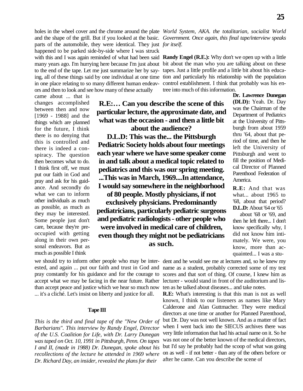holes in the wheel cover and the chrome around the plate World System, AKA. the totalitarian, socialist World and the shape of the grill. But if you looked at the basic. *Government. Once again, this final tape/interview speaks*  parts of the automobile, they were identical. They just *for itself.* happened to be parked side-by-side where I was struck with this and I was again reminded of what had been said Randy Engel (R.E.): Why don't we open up with a little many years ago. I'm hurrying here because I'm just about bit about the man who you are talking about on these to the end of the tape. Let me just summarize her by say-tapes. Just a little profile and a little bit about his educaing, all of these things said by one individual at one time tion and particularly his relationship with the population in one place relating to so many different human endeavors and then to look and see how many of these actually

came about ... that is changes accomplished between then and now [1969 - 1988] and the things which are planned for the future, I think there is no denying that this is controlled and there is indeed a conspiracy. The question then becomes what to do. I think first off, we must put our faith in God and pray and ask for his guidance. And secondly do what we can to inform other individuals as much as possible, as much as they may be interested. Some people just don't care, because they're preoccupied with getting along in their own personal endeavors. But as much as possible I think

**R.E:… Can you describe the scene of this particular lecture, the approximate date, and what was the occasion - and then a little bit**

**about the audience?**

**D.L.D: This was the... the Pittsburgh Pediatric Society holds about four meetings each year where we have some speaker come in and talk about a medical topic related to pediatrics and this was our spring meeting. ...This was in March, 1969....In attendance, I would say somewhere in the neighborhood**

**of 80 people. Mostly physicians, if not exclusively physicians. Predominantly pediatricians, particularly pediatric surgeons and pediatric radiologists - other people who were involved in medical care of children, even though they might not be pediatricians as such.**

ested, and again ... put our faith and trust in God and name as a student, probably corrected some of my test pray constantly for his guidance and for the courage to scores and that sort of thing. Of course, I knew him as accept what we may be facing in the near future. Rather lecturer - would stand in front of the auditorium and listhan accept peace and justice which we hear so much now ten as he talked about diseases... and take notes. ... it's a cliché. Let's insist on liberty and justice for all.

#### **Tape III**

*This is the third and final tape of the "New Order of Barbarians". This interview by Randy Engel, Director of the U.S. Coalition for Life, with Dr. Larry Dunegan was taped on Oct. 10, 1991 in Pittsburgh, Penn. On tapes I and II, (made in 1988) Dr. Dunegan, spoke about his recollections of the lecture he attended in 1969 where Dr. Richard Day, an insider, revealed the plans for their*

control establishment. I think that probably was his entree into much of this information.

> **Dr. Lawrence Dunegan (DLD):** Yeah. Dr. Day was the Chairman of the Department of Pediatrics at the University of Pittsburgh from about 1959 thru '64, about that period of time, and then he left the University of Pittsburgh and went to fill the position of Medical Director of Planned Parenthood Federation of America.

> **R.E:** And that was what... about 1965 to '68, about that period? **D.L.D:** About '64 or '65

> about '68 or '69, and then he left there... I don't know specifically why, I did not know him intimately. We were, you know, more than acquainted... I was a stu-

we should try to inform other people who may be inter-dent and he would see me at lectures and, so he knew my

**R.E:** What's interesting is that this man is not as well known, I think to our listeners as names like Mary Calderone and Alan Guttmacher. They were medical directors at one time or another for Planned Parenthood, but Dr. Day was not well known. And as a matter of fact when I went back into the SIECUS archives there was very little information that had his actual name on it. So he was not one of the better known of the medical directors, but I'd say he probably had the scoop of what was going on as well - if not better - than any of the others before or after he came. Can you describe the scene of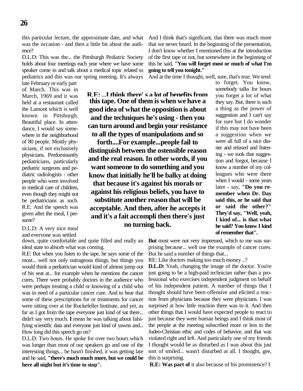this particular lecture, the approximate date, and what was the occasion - and then a little bit about the audience?

D.L.D: This was the... the Pittsburgh Pediatric Society holds about four meetings each year where we have some speaker come in and talk about a medical topic related to pediatrics and this was our spring meeting. It's always

And I think that's significant, that there was much more that we never heard. In the beginning of the presentation, I don't know whether I mentioned this at the introduction of the first tape or not, but somewhere in the beginning of this he said, **"You will forget most or much of what I'm going to tell you tonight."**

And at the time I thought, well, sure, that's true. We tend

late February or early part of March. This was in March, 1969 and it was held at a restaurant called the Lamont which is well known in Pittsburgh. Beautiful place. In attendance, I would say somewhere in the neighborhood of 80 people. Mostly physicians, if not exclusively physicians. Predominantly pediatricians, particularly pediatric surgeons and pediatric radiologists - other people who were involved in medical care of children, even though they might not be pediatricians as such. R.E: And the speech was given after the meal, I presume?

D.L.D: A very nice meal

and everyone was settled

down, quite comfortable and quite filled and really an ideal state to absorb what was coming.

R.E: But when you listen to the tape, he says some of the most... well not only outrageous things, but things you would think a pediatrician would kind of almost jump out of his seat at... for example when he mentions the cancer cures. There were probably doctors in the audience who were perhaps treating a child or knowing of a child who was in need of a particular cancer cure. And to hear that some of these prescriptions for or treatments for cancer were sitting over at the Rockefeller Institute, and yet, as far as I got from the tape everyone just kind of sat there... didn't say very much. **I** mean he was talking about falsifying scientific data and everyone just kind of yawns and... How long did this speech go on?

D.L.D: Two hours. He spoke for over two hours which was longer than most of our speakers go and one of the interesting things... he hasn't finished, it was getting late and he said, **"there's much much more, but we could be here all night but it's time to stop".**

**R.E:...I think there' s a lot of benefits from this tape. One of them is when we have a good idea of what the opposition is about and the techniques he's using - then you can turn around and begin your resistance to all the types of manipulations and so**

**forth....For example...people fail to distinguish between the ostensible reason and the real reason. In other words, if you want someone to do something and you know that initially he'll be balky at doing that because it's against his morals or against his religious beliefs, you have to substitute another reason that will be acceptable. And then, after he accepts it and it's a fait accompli then there's just no turning back.**

to forget. You know, somebody talks for hours you forget a lot of what they say. But, there is such a thing as the power of suggestion and I can't say for sure but I do wonder if this may not have been a suggestion when we were all full of a nice dinner and relaxed and listening - we took that suggestion and forgot, because I know a number of my colleagues who were there when I would - some years later - say, **"Do you remember when Dr. Day said this, or he said that or said the other?" They'd say, "Well, yeah, I kind of... is that what he said? You know I kind of remember that".**

**But** most were not very impressed, which to me was surprising because... well use the example of cancer cures. But he said a number of things that...

RE: Like doctors making too much money ..?

**D.L.D:** Yeah, changing the image of the doctor. You're just going to be a high-paid technician rather than a professional who exercises independent judgment on behalf of his independent patient. A number of things that I thought should have been offensive and elicited a reaction from physicians because they were physicians. I was surprised at how little reaction there was to it. And then other things that I would have expected people to react to just because they were human beings and I think most of the people at the meeting subscribed more or less to the Judeo-Christian ethic and codes of behavior, and that was violated right and left. And particularly one of my friends I thought would be as disturbed as I was about this just sort of smiled... wasn't disturbed at all. I thought, gee, this is surprising.

**R.E: Was part of** it also because of his prominence? I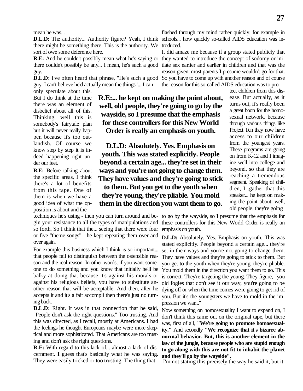**27**

mean he was...

**D.L.D:** The authority... Authority figure? Yeah, I think schools... how quickly so-called AIDS education was inthere might be something there. This is the authority. We troduced. sort of owe some deference here.

guy.

**D.L.D:** I've often heard that phrase, "He's such a good guy. I can't believe he'd actually mean the things"... I can only speculate about this.

But I do think at the time there was an element of disbelief about all of this. Thinking, well this is somebody's fairytale plan but it will never really happen because it's too outlandish. Of course we know step by step it is indeed happening right under our feet.

**R.E:** Before talking about the specific areas, I think there's a lot of benefits from this tape. One of them is when we have a good idea of what the opposition is about and the

**wayside, so I presume that the emphasis for these controllers for this New World Order is really an emphasis on youth.**

**D.L.D: Absolutely. Yes. Emphasis on youth. This was stated explicitly. People beyond a certain age... they're set in their ways and you're not going to change them. They have values and they're going to stick to them. But you get to the youth when they're young, they're pliable. You mold them in the direction you want them to go.**

gin your resistance to all the types of manipulations and these controllers for this New World Order is really an so forth. So I think that the... seeing that there were four or five "theme songs" - he kept repeating them over and over again.

For example this business which I think is so important... that people fail to distinguish between the ostensible reason and the real reason. In other words, if you want someone to do something and you know that initially he'll be balky at doing that because it's against his morals or against his religious beliefs, you have to substitute another reason that will be acceptable. And then, after he accepts it and it's a fait accompli then there's just no turning back.

**D.L.D:** Right. It was in that connection that he said, "People don't ask the right questions." Too trusting. And this was directed, as I recall, mostly at Americans. I had the feelings he thought Europeans maybe were more skeptical and more sophisticated. That Americans are too trusting and don't ask the right questions.

**R.E:** With regard to this lack of... almost a lack of discernment. **I** guess that's basically what he was saying. They were easily tricked or too trusting. The thing that

techniques he's using - then you can turn around and be-to go by the wayside, so **I** presume that the emphasis for emphasis on youth.

> **D.L.D:** Absolutely. Yes. Emphasis on youth. This was stated explicitly. People beyond a certain age... they're set in their ways and you're not going to change them. They have values and they're going to stick to them. But you get to the youth when they're young, they're pliable. You mold them in the direction you want them to go. This is correct. They're targeting the young. They figure, "you old fogies that don't see it our way, you're going to be dying off or when the time comes we're going to get rid of you. But it's the youngsters we have to mold in the impression we want."

> Now something on homosexuality I want to expand on, I don't think this came out on the original tape, but there was, first of all, **"We're going to promote homosexuality."** And secondly **"We recognize that it's bizarre abnormal behavior. But, this is another element in the law of the jungle, because people who are stupid enough to go along with this are not fit to inhabit the planet and they'll go by the wayside".**

I'm not stating this precisely the way he said it, but it

**R.E:... he kept on making the point about, well, old people, they're going to go by the**

**R.E:** And he couldn't possibly mean what he's saying or they wanted to introduce the concept of sodomy or inithere couldn't possibly be any... I mean, he's such a good tiate sex earlier and earlier in children and that was the It did amaze me because if a group stated publicly that reason given, most parents **I** presume wouldn't go for that. So you have to come up with another reason and of course the reason for this so-called AIDS education was to pro-

flashed through my mind rather quickly, for example in

tect children from this disease. But actually, as it turns out, it's really been a great boon for the homosexual network, because through various things like Project Ten they now have access to our children from the youngest years. These programs are going on from K-12 and I imagine well into college and beyond, so that they are reaching a tremendous segment. Speaking of children, I .gather that this speaker... he kept on making the point about, well, old people, they're going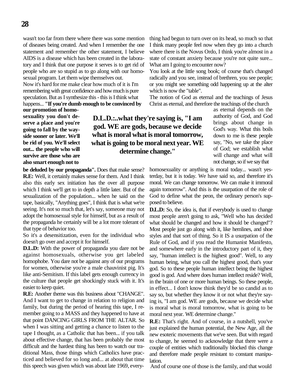wasn't too far from there where there was some mention of diseases being created. And when I remember the one statement and remember the other statement, I believe AIDS is a disease which has been created in the laboratory and I think that one purpose it serves is to get rid of people who are so stupid as to go along with our homosexual program. Let them wipe themselves out.

Now it's hard for me make clear how much of it is I'm remembering with great confidence and how much is pure speculation. But as I synthesize this - this is I think what happens... **"If you're dumb enough to be convinced by** 

**our promotion of homosexuality you don't deserve a place and you're going to fall by the wayside sooner or later. We'll be rid of you. We'll select out... the people who will survive are those who are also smart enough not to**

**D.L.D.:..what they're saying is, "I am god. WE are gods, because we decide what is moral what is moral tomorrow, what is going to be moral next year. WE determine change."**

**be deluded by our propaganda".** Does that make sense? **R.E:** Well, it certainly makes sense for them. And I think also this early sex initiation has the over all purpose which I think we'll get to in depth a little later. But of the sexualization of the population... when he said on the tape, basically, "Anything goes", I think that is what we're seeing. It's not so much that, let's say, someone may not adopt the homosexual style for himself, but as a result of the propaganda he certainly will be a lot more tolerant of that type of behavior too.

So it's a desensitization, even for the individual who doesn't go over and accept it for himself.

**D.L.D:** With the power of propaganda you dare not be against homosexuals, otherwise you get labeled homophobe. You dare not be against any of our programs for women, otherwise you're a male chauvinist pig. It's like anti-Semitism. If this label gets enough currency in the culture that people get shockingly stuck with it. It's easier to keep quiet.

**R.E:** Another theme was this business about "CHANGE". And I want to get to change in relation to religion and family, but during the period of hearing this tape, I remember going to a MASS and they happened to have at that point DANCING GIRLS FROM THE ALTAR. So when I was sitting and getting a chance to listen to the tape I thought, as a Catholic that has been... if you talk about effective change, that has been probably the most difficult and the hardest thing has been to watch our traditional Mass, those things which Catholics have practiced and believed for so long and... at about that time this speech was given which was about late 1969, everything had begun to turn over on its head, so much so that I think many people feel now when they go into a church where there is the Novus Ordo, I think you're almost in a state of constant anxiety because you're not quite sure... What am I going to encounter now?

You look at the little song book; of course that's changed radically and you see, instead of brethren, you see people; or you might see something odd happening up at the alter which is now the "table".

The notion of God as eternal and the teachings of Jesus Christ as eternal, and therefore the teachings of the church

> as eternal depends on the authority of God, and God brings about change in God's way. What this boils down to me is these people say, "No, we take the place of God; we establish what will change and what will not change, so if we say that

homosexuality or anything is moral today... wasn't yesterday, but it is today. We have said so, and therefore it's moral. We can change tomorrow. We can make it immoral again tomorrow". And this is the usurpation of the role of God to define what the peon, the ordinary person's supposed to believe.

**D.L.D:** So, the idea is, that if everybody is used to change most people aren't going to ask, "Well who has decided what should be changed and how it should be changed"? Most people just go along with it, like hemlines, and shoe styles and that sort of thing. So it IS a usurpation of the Rule of God, and if you read the Humanist Manifesto, and somewhere early in the introductory part of it, they say, "human intellect is the highest good". Well, to any human being, what you call the highest good, that's your god. So to these people human intellect being the highest good is god. And where does human intellect reside? Well, in the brain of one or more human beings. So these people, in effect... I don't know think they'd be so candid as to say so, but whether they know it or not what they're saying is, "I am god. WE are gods, because we decide what is moral what is moral tomorrow, what is going to be moral next year. WE determine change."

**R.E:** That's right. And of course, in a nutshell, you've just explained the human potential, the New Age, all the new esoteric movements that we've seen. But with regard to change, he seemed to acknowledge that there were a couple of entities which traditionally blocked this change and therefore made people resistant to constant manipulation.

And of course one of those is the family, and that would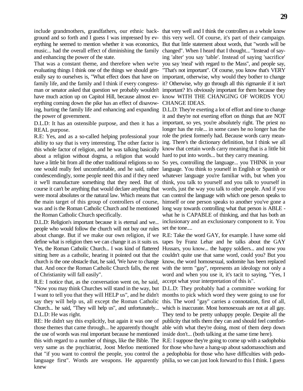include grandmothers, grandfathers, our ethnic back-that very well and I think the controllers as a whole know ground and so forth and I guess I was impressed by ev-this very well. Of course, it's part of their campaign. erything he seemed to mention whether it was economics, But that little statement about words, that "words will be music... had the overall effect of diminishing the family changed". When I heard that I thought... "Instead of sayand enhancing the power of the state.

evaluating things I think one of the things we should generally say to ourselves is, "What effect does that have on important, otherwise, why would they bother to change family life, and the family and I think if every congress- it? Otherwise, why go through all this rigmarole if it isn't man or senator asked that question we probably wouldn't important? It's obviously important for them because they have much action up on Capitol Hill, because almost ev-know WITH THE CHANGING OF WORDS YOU erything coming down the pike has an effect of disavow-CHANGE IDEAS. ing, hurting the family life and enhancing and expanding D.L.D: They're exerting a lot of effort and time to change the power of government.

REAL purpose.

R.E: Yes, and as a so-called helping professional your ability to say that is very interesting. The other factor is this whole factor of religion, and he was talking basically know that certain words carry meaning that is a little bit about a religion without dogma, a religion that would hard to put into words... but they carry meaning. have a little bit from all the other traditional religions so no So yes, controlling the language... you THINK in your one would really feel uncomfortable, and he said, rather language. You think to yourself in English or Spanish or condescendingly, some people need this and if they need whatever language you're familiar with, but when you it we'll manufacture something that they need. But of think, you talk to yourself and you talk to yourself in course it can't be anything that would declare anything that words, just the way you talk to other people. And if you were moral absolutes or the natural law. Which means that can control the language with which one person speaks to the main target of this group of controllers of course, himself or one person speaks to another you've gone a was and is the Roman Catholic Church and he mentioned long way towards controlling what that person is ABLE the Roman Catholic Church specifically.

people who would follow the church will not buy our rules set the tone.... about change. But if we make our own religion, if we R.E: Take the word GAY, for example. I have some old define what is religion then we can change it as it suits us. tapes by Franz Lehar and he talks about the GAY Yes, the Roman Catholic Church... I was kind of flattered Hussars, you know... the happy soldiers... and now you sitting here as a catholic, hearing it pointed out that the couldn't quite use that same word, could you? But you church is the one obstacle that, he said, 'We have to change know, the word homosexual, sodomite has been replaced that. And once the Roman Catholic Church falls, the rest with the term "gay", represents an ideology not only a of Christianity will fall easily".

R.E: I notice that, as the conversation went on, he said, accept what your interpretation of this is". "Now you may think Churches will stand in the way, but D.L.D: They probably had a committee working for I want to tell you that they will HELP us", and he didn't months to pick which word they were going to use for say they will help us, all except the Roman Catholic this. The word "gay" carries a connotation, first of all, Church... he said, "They will help us", and unfortunately... which is inaccurate. Most homosexuals are not at all gay. D.L.D: He was right.

those themes that came through... he apparently thought able with what they're doing, most of them deep down the use of words was real important because he mentioned inside don't... (both talking at the same time here). this with regard to a number of things, like the Bible. The R.E: I suppose they're going to come up with a sadophobia very same as the psychiatrist, Joost Merloo mentioned for those who have a hang-up about sadomasochism and that "if you want to control the people, you control the a pedophobia for those who have difficulties with pedolanguage first". Words are weapons. He apparently philia, so we can just look forward to this I think. I guess knew

That was a constant theme, and therefore when we're you say 'meal' with regard to the Mass", and people say, ing 'alter' you say 'table'. Instead of saying 'sacrifice' "That's not important". Of course, you know that's VERY

D.L.D: It has an ostensible purpose, and then it has a important, so yes, you're absolutely right. The priest no it and they're not exerting effort on things that are NOT longer has the role... in some cases he no longer has the role the priest formerly had. Because words carry meaning. There's the dictionary definition, but I think we all

D.L.D: Religion's important because it is eternal and we... inclusionary and an exclusionary component to it. You what he is CAPABLE of thinking, and that has both an

word and when you use it, it's tacit to saying, "Yes, I

RE: He didn't say this explicitly, but again it was one of publicity that tells them they can and should feel comfort-They tend to be pretty unhappy people. Despite all the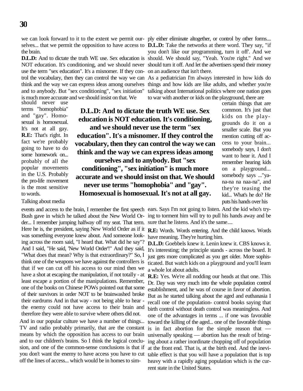we can look forward to it to the extent we permit our- ply either eliminate altogether, or control by other forms.... selves... that we permit the opposition to have access to **D.L.D:** Take the networks at there word. They say, "if the brain.

NOT education. It's conditioning, and we should never should turn it off. And let the advertisers spend their money use the term "sex education". It's a misnomer. If they con-on an audience that isn't there. trol the vocabulary, then they can control the way we can think and the way we can express ideas among ourselves and to anybody. But "sex conditioning", "sex initiation" is much more accurate and we should insist on that. We

should never use terms "homophobia" and "gay". Homosexual is homosexual. It's not at all gay. **R.E:** That's right. In fact we're probably going to have to do some homework on... probably of all the popular movements in the U.S. Probably the pro-life movement is the most sensitive to words.

Talking about media

**D.L.D: And to dictate the truth WE use. Sex education is NOT education. It's conditioning, and we should never use the term "sex education". It's a misnomer. If they control the vocabulary, then they can control the way we can think and the way we can express ideas among ourselves and to anybody. But "sex conditioning", "sex initiation" is much more accurate and we should insist on that. We should never use terms "homophobia" and "gay". Homosexual is homosexual. It's not at all gay.**

**D.L.D:** And to dictate the truth WE use. Sex education is should. We should say, "Yeah. You're right." And we you don't like our programming, turn it off'. And we

> As a pediatrician I'm always interested in how kids do things and how kids are like adults, and whether you're talking about International politics where one nation goes to war with another or kids on the playground, there are

> > certain things that are common. It's just that kids on the playgrounds do it on a smaller scale. But you mention cutting off access to your brain... somebody says, I don't want to hear it. And I remember hearing kids on a playground... somebody says ..."yana-na na naa-na", and they're teasing the kid... What's he do? He puts his hands over his

events and access to the brain, I remember the first speech ears. Says I'm not going to listen. And the kid who's try-Bush gave in which he talked about the New World Order... I remember jumping halfway off my seat. That term. Here he is, the president, saying New World Order as if it was something everyone knew about. And someone looking across the room said, "I heard that. What did he say"? And I said, "He said, 'New World Order'!" And they said, "What does that mean? Why is that extraordinary?" So, I think one of the weapons we have against the controllers is that if we can cut off his access to our mind then we have a shot at escaping the manipulation, if not totally - at least escape a portion of the manipulations. Remember, one of the books on Chinese POWs pointed out that some of their survivors in order NOT to be brainwashed broke their eardrums And in that way - not being able to hear the enemy could not have access to their brain and therefore they were able to survive where others did not.

And in our popular culture we have a number of things... TV and radio probably primarily, that are the constant means by which the opposition has access to our brain and to our children's brains. So I think the logical conclusion, and one of the common-sense conclusions is that if you don't want the enemy to have access you have to cut off the lines of access... which would be in homes to sim-

ing to torment him will try to pull his hands away and be sure that he listens. And it's the same....

**R.E:** Words. Words entering. And the child knows. Words have meaning. They're hurting him.

**D.L.D:** Goebbels knew it. Lenin knew it. CBS knows it. It's interesting; the principle stands - across the board. It just gets more complicated as you get older. More sophisticated. But watch kids on a playground and you'll learn a whole lot about adults.

**R.E:** Yes. We're all nodding our heads at that one. This Dr. Day was very much into the whole population control establishment, and he was of course in favor of abortion. But as he started talking about the aged and euthanasia I recall one of the population- control books saying that birth control without death control was meaningless. And one of the advantages in terms ... if one was favorable toward the killing of the aged... one of the favorable things is in fact abortion for the simple reason that universally speaking — abortion has the result of bringing about a rather inordinate chopping off of population at the front end. That is, at the birth end. And the inevitable effect is that you will have a population that is top heavy with a rapidly aging population which is the current state in the United States.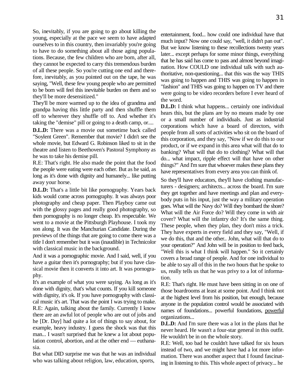So, inevitably, if you are going to go about killing the young, especially at the pace we seem to have adapted ourselves to in this country, then invariably you're going to have to do something about all those aging populations. Because, the few children who are born, after all, they cannot be expected to carry this tremendous burden of all these people. So you're cutting one end and therefore, inevitably, as you pointed out on the tape, he was saying, "Well, these few young people who are permitted to be born will feel this inevitable burden on them and so they'll be more desensitized."

They'll be more warmed up to the idea of grandma and grandpa having this little party and then shuffle them off to wherever they shuffle off to. And whether it's taking the "demise" pill or going to a death camp, or....

**D.L.D:** There was a movie out sometime back called "Soylent Green". Remember that movie? I didn't see the whole movie, but Edward G. Robinson liked to sit in the theatre and listen to Beethoven's Pastoral Symphony as he was to take his demise pill.

R.E: That's right. He also made the point that the food the people were eating were each other. But as he said, as long as it's done with dignity and humanely... like putting away your horse.

**D.L.D:** That's a little bit like pornography. Years back kids would come across pornography. It was always poor photography and cheap paper. Then Playboy came out with the glossy pages and really good photography, so then pornography is no longer cheap. It's respectable. We went to a movie at the Pittsburgh Playhouse. I took my son along. It was the Manchurian Candidate. During the previews of the things that are going to come there was a title I don't remember but it was (inaudible) in Technicolor with classical music in the background.

And it was a pornographic movie. And I said, well, if you have a guitar then it's pornography; but if you have classical movie then it converts it into art. It was pornography.

It's an example of what you were saying. As long as it's done with dignity, that's what counts. If you kill someone with dignity, it's ok. If you have pornography with classical music it's art. That was the point I was trying to make. R.E: Again, talking about the family. Currently I know there are an awful lot of people who are out of jobs and he [Dr. Day] had quite a lot of things to say about, for example, heavy industry. I guess the shock was that this man... I wasn't surprised that he knew a lot about population control, abortion, and at the other end — euthanasia.

But what DID surprise me was that he was an individual who was talking about religion, law, education, sports,

entertainment, food... how could one individual have that much input? Now one could say, "well, it didn't pan out". But we know listening to these recollections twenty years later... except perhaps for some minor things, everything that he has said has come to pass and almost beyond imagination. How COULD one individual talk with such authoritative, non-questioning... that this was the way THIS was going to happen and THIS was going to happen in "fashion" and THIS was going to happen on TV and there were going to be video recorders before I ever heard of the word.

**D.L.D:** I think what happens... certainly one individual hears this, but the plans are by no means made by one or a small number of individuals. Just as industrial corporations which have a board of directors, with people from all sorts of activities who sit on the board of this corporation, and they say, "Now if we do this to our product, or if we expand in this area what will that do to banking? What will that do to clothing? What will that do... what impact, ripple effect will that have on other things?" And I'm sure that whoever makes these plans they have representatives from every area you can think of.

So they'll have educators, they'll have clothing manufacturers - designers; architects... across the board. I'm sure they get together and have meetings and plan and everybody puts in his input, just the way a military operation goes. What will the Navy do? Will they bombard the shore? What will the Air Force do? Will they come in with air cover? What will the infantry do? It's the same thing. These people, when they plan, they don't miss a trick. They have experts in every field and they say, "Well, if we do this, that and the other.. John, what will that do to your operation?" And John will be in position to feed back, "Well this is what I think will happen." So it certainly covers a broad range of people. And for one individual to be able to say all of this in the two hours that he spoke to us, really tells us that he was privy to a lot of information.

R.E: That's right. He must have been sitting in on one of those boardrooms at least at some point. And I think not at the highest level from his position, but enough, because anyone in the population control would be associated with names of foundations... powerful foundations, powerful organizations...

**D.L.D:** And I'm sure there was a lot in the plans that he never heard. He wasn't a four-star general in this outfit. He wouldn't be in on the whole story.

R.E: Well, too bad he couldn't have talked for six hours instead of two, and we might have had a lot more information. There was another aspect that I found fascinating in listening to this. This whole aspect of privacy... he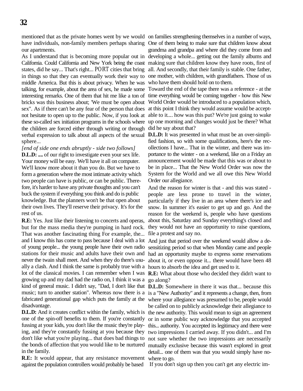our apartments.

middle America. But this is about privacy. When he was who have them should hold on to them. talking, for example, about the area of sex, he made some Toward the end of the tape there was a reference - at the sex". As if there can't be any fear of the person that does at this point I think they would assume would be acceptnot hesitate to open up to the public. Now, if you look at these so-called sex initiation programs in the schools where the children are forced either through writing or through did he say about that? verbal expression to talk about all aspects of the sexual sphere...

*[end of side one ends abruptly - side two follows]*  **D.L.D: ....** of our right to investigate even your sex life. Your money will be easy. We'll have it all on computer. We'll know more about it than you do. But we have to form a generation where the most intimate activity which two people can have is public, or can be public. Therefore, it's harder to have any private thoughts and you can't buck the system if everything you think and do is public knowledge. But the planners won't be that open about their own lives. They'll reserve their privacy. It's for the rest of us.

**R.E:** Yes. Just like their listening to concerts and operas, but for the mass media they're pumping in hard rock. That was another fascinating thing For example, the... and I know this has come to pass because I deal with a lot of young people... the young people have their own radio stations for their music and adults have their own and never the twain shall meet. And when they do there's usually a clash. And I think the same is probably true with a hours to absorb the idea and get used to it. lot of the classical movies. I can remember when I was **R.E:** What about those who decided they didn't want to growing up and my dad had the radio on, I think it was a kind of general music. I didn't say, "Dad, I don't like that **D.L.D:** Somewhere in there it was that... because this disadvantage.

**D.L.D:** And it creates conflict within the family, which is one of the spin-off benefits to them. If you're constantly fussing at your kids, you don't like the music they're playing, and they're constantly fussing at you because they don't like what you're playing... that does bad things to in the family.

**R.E:** It would appear, that any resistance movement where to go. against the population controllers would probably be based

mentioned that as the private homes went by we would on families strengthening themselves in a number of ways, have individuals, non-family members perhaps sharing One of them being to make sure that children know about As I understand that is becoming more popular out in developing a whole... getting out the family albums and California. Could California and New York being the coast making sure that children know they have roots, first of states, did he say... That's right... PORT cities that bring all. And secondly, that their family is stable. One father, in things so that they can eventually work their way to one mother, with children, with grandfathers. Those of us grandma and grandpa and where did they come from and

interesting remarks. One of them that hit me like a ton of time everything would be coming together - how this New bricks was this business about; 'We must be open about World Order would be introduced to a population which, able to it.... how was this put? We're just going to wake up one morning and changes would just be there? What

> **D.L.D:** It was presented in what must be an over-simplified fashion, so with some qualifications, here's the recollections I have... That in the winter, and there was importance to the winter - on a weekend, like on a Friday an announcement would be made that this was or about to be in place... That the New World Order was now the System for the World and we all owe this New World Order our allegiance.

> And the reason for winter is that - and this was stated people are less prone to travel in the winter, particularly if they live in an area where there's ice and snow. In summer it's easier to get up and go. And the reason for the weekend is, people who have questions about this, Saturday and Sunday everything's closed and they would not have an opportunity to raise questions, file a protest and say no.

> And just that period over the weekend would allow a desensitizing period so that when Monday came and people had an opportunity maybe to express some reservations about it, or even oppose it... there would have been 48

> go along?

music; turn to another station". Whereas now there is a is a "New Authority" and it represents a change, then, from fabricated generational gap which puts the family at the where your allegiance was presumed to be, people would the bonds of affection that you would like to be nurtured mutually exclusive because this wasn't explored in great be called on to publicly acknowledge their allegiance to the new authority. This would mean to sign an agreement or in some public way acknowledge that you accepted this... authority. You accepted its legitimacy and there were two impressions I carried away. If you didn't... and I'm not sure whether the two impressions are necessarily detail... one of them was that you would simply have no-

If you don't sign up then you can't get any electric im-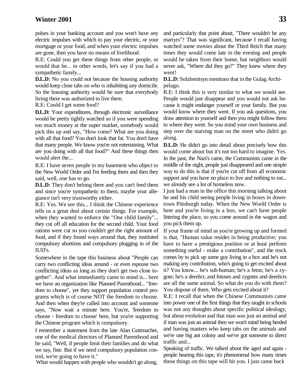## **Winter 2001 33**

pulses in your banking account and you won't have any electric impulses with which to pay your electric, or your mortgage or your food, and when your electric impulses are gone, then you have no means of livelihood.

R.E: Could you get these things from other people, or would that be... in other words, let's say if you had a sympathetic family...

**D.L.D:** No you could not because the housing authority would keep close tabs on who is inhabiting any domicile. So the housing authority would be sure that everybody living there was authorized to live there.

R.E: Could I get some food?

**D.L.D:** Your expenditures, through electronic surveillance would be pretty tightly watched so if you were spending too much money at the super market, somebody would pick this up and say, "How come? What are you doing with all that food? You don't look that fat. You don't have that many people. We know you're not entertaining. What are you doing with all that food?" And these things then would alert the...

R.E: I have seven people in my basement who object to the New World Order and I'm feeding them and then they said, well, one has to go.

**D.L.D:** They don't belong there and you can't feed them and since you're sympathetic to them, maybe your allegiance isn't very trustworthy either.

R.E: Yes. We see this... I think the Chinese experience tells us a great deal about certain things. For example, when they wanted to enforce the "One child family"... they cut off all education for the second child. Your food rations were cut so you couldn't get the right amount of food, and if they found ways around that, they instituted compulsory abortions and compulsory plugging in of the IUD's.

Somewhere in the tape this business about "People can carry two conflicting ideas around - or even espouse two conflicting ideas as long as they don't get two close together". And what immediately came to mind is... here we have an organization like Planned Parenthood... "freedom to choose", yet they support population control programs which is of course NOT the freedom to choose. And then when they're called into account and someone says, "Now wait a minute here. You're, 'freedom to choose - freedom to choose' here, but you're supporting the Chinese program which is compulsory.

I remember a statement from the late Alan Guttmacher, one of the medical directors of Planned Parenthood and he said, "Well, if people limit their families and do what we say, fine. But if we need compulsory population control, we're going to have it."

What would happen with people who wouldn't go along,

and particularly that point about, "There wouldn't be any martyrs"? That was significant, because I recall having watched some movies about the Third Reich that many times they would come late in the evening and people would be taken from their home, but neighbors would never ask, "Where did they go?" They knew where they went!

**D.L.D:** Solzhenitsyn mentions that in the Gulag Archipelago.

R.E: I think this is very similar to what we would see. People would just disappear and you would not ask because it might endanger yourself or your family. But you would know where they went. If you ask questions, you draw attention to yourself and then you might follow them to where they went. So you mind your own business and step over the starving man on the street who didn't go along.

**D.L.D:** He didn't go into detail about precisely how this would come about but it's not too hard to imagine. Yes. In the past, the Nazi's came, the Communists came in the middle of the night, people just disappeared and one simple way to do this is that if you're cut off from all economic support and you have no place to live and nothing to eat... we already see a lot of homeless now.

I just had a man in the office this morning talking about he and his child seeing people living in boxes in downtown Pittsburgh today. When the New World Order is here and you're living in a box, we can't have people littering the place, so you come around in the wagon and you pick them up.

If your frame of mind as you're growing up and formed is that, "Human value resides in being productive; you have to have a prestigious position or at least perform something useful - make a contribution", and the truck comes by to pick up some guy living in a box and he's not making any contribution, who's going to get excited about it? You know... he's sub-human; he's a fetus; he's a zygote; he's a derelict, and fetuses and zygotes and derelicts are all the same animal. So what do you do with them? You dispose of them. Who gets excited about it?

R.E: I recall that when the Chinese Communists came into power one of the first things that they taught in schools was not any thoughts about specific political ideology, but about evolution and that man was just an animal and if man was just an animal then we won't mind being herded and having masters who keep tabs on the animals and we're one big ant colony and we've got someone to direct traffic and...

Speaking of traffic. We talked about the aged and again people hearing this tape, it's phenomenal how many times these things on this tape will hit you. I just came back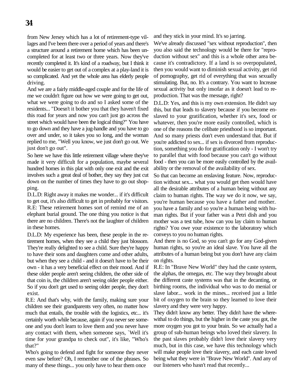from New Jersey which has a lot of retirement-type villages and I've been there over a period of years and there's a structure around a retirement home which has been uncompleted for at least two or three years. Now they've recently completed it. It's kind of a roadway, but I think it would be easier to get out of a complex at a play-land it is so complicated. And yet the whole area has elderly people driving.

And we are a fairly middle-aged couple and for the life of me we couldn't figure out how we were going to get out, what we were going to do and so I asked some of the residents... "Doesn't it bother you that they haven't fixed this road for years and now you can't just go across the street which would have been the logical thing?" You have to go down and they have a jug-handle and you have to go over and under, so it takes you so long, and the woman replied to me, "Well you know, we just don't go out. We just don't go out".

So here we have this little retirement village where they've made it very difficult for a population, maybe several hundred homes in this plat with only one exit and the exit involves such a great deal of bother, they say they just cut down on the number of times they have to go out shopping.

D.L.D: Right away it makes me wonder... if it's difficult to get out, it's also difficult to get in probably for visitors. R.E: These retirement homes sort of remind me of an elephant burial ground. The one thing you notice is that there are no children. There's not the laughter of children in these homes.

D.L.D: My experience has been, these people in the retirement homes, when they see a child they just blossom. They're really delighted to see a child. Sure they're happy to have their sons and daughters come and other adults, but when they see a child - and it doesn't have to be their own - it has a very beneficial effect on their mood. And if these older people aren't seeing children, the other side of that coin is, the children aren't seeing older people either. So if you don't get used to seeing older people, they don't exist.

R.E: And that's why, with the family, making sure your children see their grandparents very often, no matter how much that entails, the trouble with the logistics, etc... it's certainly worth while because, again if you never see someone and you don't learn to love them and you never have any contact with them, when someone says, `Well it's time for your grandpa to check out", it's like, "Who's that?"

Who's going to defend and fight for someone they never even saw before? Oh, I remember one of the phrases. So many of these things... you only have to hear them once

and they stick in your mind. It's so jarring.

We've already discussed "sex without reproduction", then you also said the technology would be there for "reproduction without sex" and this is a whole other area because it's contradictory. If a land is so overpopulated, then you would want to diminish sexual activity, get rid of pornography, get rid of everything that was sexually stimulating. But, no. It's a contrary. You want to Increase sexual activity but only insofar as it doesn't lead to reproduction. That was the message, right?

D.L.D: Yes, and this is my own extension. He didn't say this, but that leads to slavery because if you become enslaved to your gratification, whether it's sex, food or whatever, then you're more easily controlled, which is one of the reasons the celibate priesthood is so important. And so many priests don't even understand that. But if you're addicted to sex... if sex is divorced from reproduction, something you do for gratification only - I won't try to parallel that with food because you can't go without food - then you can be more easily controlled by the availability or the removal of the availability of sex.

So that can become an enslaving feature. Now, reproduction without sex... what you would get then would have all the desirable attributes of a human being without any claim to human rights. The way we do it now, we say, you're human because you have a father and mother... you have a family and so you're a human being with human rights. But if your father was a Petri dish and you mother was a test tube, how can you lay claim to human rights? You owe your existence to the laboratory which conveys to you no human rights.

And there is no God, so you can't go for any God-given human rights, so you're an ideal slave. You have all the attributes of a human being but you don't have any claim on rights.

R.E: In "Brave New World" they had the caste system, the alphas, the omegas, etc. The way they brought about the different caste systems was that in the decanting, or birthing rooms, the individual who was to do menial or slave labor... work in the mines... received just a little bit of oxygen to the brain so they learned to love their slavery and they were very happy.

They didn't know any better. They didn't have the wherewithal to do things, but the higher in the caste you got, the more oxygen you got to your brain. So we actually had a group of sub-human beings who loved their slavery. In the past slaves probably didn't love their slavery very much, but in this case, we have this technology which will make people love their slavery, and each caste loved being what they were in "Brave New World". And any of our listeners who hasn't read that recently...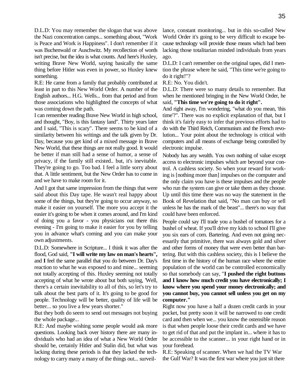D.L.D: You may remember the slogan that was above the Nazi concentration camps... something about, "Work is Peace and Work is Happiness". I don't remember if it was Buchenwald or Auschwitz. My recollection of words isn't precise, but the idea is what counts. And here's Huxley, writing Brave New World, saying basically the same thing before Hitler was even in power, so Huxley knew something.

R.E: He came from a family that probably contributed at least in part to this New World Order. A number of the English authors... H.G. Wells... from that period and from those associations who highlighted the concepts of what was coming down the path.

I can remember reading Brave New World in high school, and thought, "Boy, is this fantasy land". Thirty years later and I said, "This is scary". There seems to be kind of a similarity between his writings and the talk given by Dr. Day, because you get kind of a mixed message in Brave New World, that these things are not really good. It would be better if man still had a sense of humor, a sense of privacy, if the family still existed.. but, it's inevitable. They're going to go. Too bad. I feel a little sorry about that. A little sentiment, but the New Order has to come in and we have to make room for it.

And I got that same impression from the things that were said about this Day tape. He wasn't real happy about some of the things, but they're going to occur anyway, so make it easier on yourself. The more you accept it the easier it's going to be when it comes around, and I'm kind of doing you a favor - you physicians out there this evening - I'm going to make it easier for you by telling you in advance what's coming and you can make your own adjustments.

D.L.D: Somewhere in Scripture... I think it was after the flood, God said, **"I will write my law on man's hearts",**  and **I** feel the same parallel that you do between Dr. Day's reaction to what he was exposed to and mine... seeming not totally accepting of this. Huxley seeming not totally accepting of what he wrote about but both saying, 'Well, there's a certain inevitability to all of this, so let's try to talk about the best parts of it. It's going to be good for people. Technology will be better, quality of life will be better... so you live a few years shorter."

But they both do seem to send out messages not buying the whole package...

R.E: And maybe wishing some people would ask more questions. Looking back over history there are many individuals who had an idea of what a New World Order should be, certainly Hitler and Stalin did, but what was lacking during these periods is that they lacked the technology to carry many a many of the things out... surveillance, constant monitoring... but in this so-called New World Order it's going to be very difficult to escape because technology will provide those means which had been lacking those totalitarian minded individuals from years ago.

D.L.D: I can't remember on the original tapes, did I mention the phrase where he said, "This time we're going to do it right!"?

R.E: No. You didn't.

D.L.D: There were so many details to remember. But when he mentioned bringing in the New World Order, he said, **"This time we're going to do it right".**

And right away, I'm wondering, "what do you mean, 'this time'?". There was no explicit explanation of that, but I think it's fairly easy to infer that previous efforts had to do with the Third Reich, Communism and the French revolution... Your point about the technology is critical with computers and all means of exchange being controlled by electronic impulse.

Nobody has any wealth. You own nothing of value except access to electronic impulses which are beyond your control. A cashless society. So when your reward for working is [nothing more than] impulses on the computer and the only claim you have is these impulses and the people who run the system can give or take them as they choose. Up until this time there was no way the statement in the Book of Revelation that said, "No man can buy or sell unless he has the mark of the beast"... there's no way that could have been enforced.

People could say I'll trade you a bushel of tomatoes for a bushel of wheat. If you'll drive my kids to school I'll give you six ears of corn. Bartering. And even not going necessarily that primitive, there was always gold and silver and other forms of money that were even better than bartering. But with this cashless society, this is I believe the first time in the history of the human race where the entire population of the world can be controlled economically so that somebody can say, "**I pushed the right buttons and I know how much credit you have electronically; I know where you spend your money electronically; and you cannot buy, you cannot sell unless you get on my computer."**

Right now you have a half a dozen credit cards in your pocket, but pretty soon it will be narrowed to one credit card and then when we... you know the ostensible reason is that when people loose their credit cards and we have to get rid of that and put the implant in... where it has to be accessible to the scanner... in your right hand or in your forehead.

R.E: Speaking of scanner. When we had the TV War the Gulf War? It was the first war where you just sit there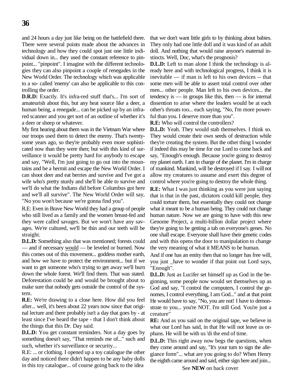and 24 hours a day just like being on the battlefield there. There were several points made about the advances in technology and how they could spot just one little individual down in... they used the constant reference to pinpoint... "pinpoint". I imagine with the different technologies they can also pinpoint a couple of renegades in the New World Order. The technology which was applicable to a so- called 'enemy' can also be applicable to this controlling the order.

**D.R.D:** Exactly. It's infra-red stuff that's... I'm sort of amateurish about this, but any heat source like a deer, a human being, a renegade... can be picked up by an infrared scanner and you get sort of an outline of whether it's a deer or sheep or whatever.

My first hearing about them was in the Vietnam War where our troops used them to detect the enemy. That's twentysome years ago, so they're probably even more sophisticated now than they were then; but with this kind of surveillance it would be pretty hard for anybody to escape and say, "Well, I'm just going to go out into the mountains and be a hermit and escape the New World Order. I can shoot deer and eat berries and survive and I've got a wife who's pretty sturdy and she'll be able to survive and we'll do what the Indians did before Columbus got here and we'll all survive". The New World Order will say, "No you won't because we're gonna find you".

R.E: Even in Brave New World they had a group of people who still lived as a family and the women breast-fed and they were called savages. But we won't have any savages. We're cultured, we'll be thin and our teeth will be straight.

**D.L.D:** Something also that was mentioned; forests could — and if necessary would — be leveled or burned. Now this comes out of this movement... goddess mother earth, and how we have to protect the environment... but if we want to get someone who's trying to get away we'll burn down the whole forest. We'll find them. That was stated. Deforestation could be and would be brought about to make sure that nobody gets outside the control of the system.

**R.E:** We're drawing to a close here. How did you feel after... well, it's been about 22 years now since that original lecture and there probably isn't a day that goes by - at least since I've heard the tape - that I don't think about the things that this Dr. Day said.

**D.L.D:** You get constant reminders. Not a day goes by something doesn't say, "That reminds me of..." such and such, whether it's surveillance or security...

R.E: ... or clothing. I opened up a toy catalogue the other day and noticed there didn't happen to be any baby dolls in this toy catalogue... of course going back to the idea

that we don't want little girls to by thinking about babies. They only had one little doll and it was kind of an adult doll. And nothing that would raise anyone's maternal instincts. Well, Doc, what's the prognosis?

**D.L.D:** Left to man alone I think the technology is already here and with technological progress, I think it is inevitable — if man is left to his own devices -- that some men will be able to assert total control over other men... other people. Man left to his own devices... the tendency is — in groups like this, then — is for internal dissention to arise where the leaders would be at each other's throats too... each saying, "No, I'm more powerful than you. I deserve more than you".

**R.E:** Who will control the controllers?

**D.L.D:** Yeah. They would stab themselves. I think so. They would create their own seeds of destruction while they're creating the system. But the other thing I wonder if indeed this may be time for our Lord to come back and say, "Enough's enough. Because you're going to destroy my planet earth. I am in charge of the planet. I'm in charge of mankind. Mankind, will be destroyed if I say. I will not allow my creatures to assume and exert this degree of control where you're going to destroy the whole thing.

**R.E:** What I was just thinking as you were just saying that is that in the past, dictators could kill people, they could torture them, but essentially they could not change what it meant to be a human being. They could not change human nature. Now we are going to have with this new Genome Project, a multi-billion dollar project where they're going to be getting a tab on everyone's genes. No one shall escape. Everyone shall have their genetic codes and with this opens the door to manipulation to change the very meaning of what it MEANS to be human.

And if one has an entity then that no longer has free will, you just \_have to wonder if that point out Lord says, "Enough".

**D.L.D:** Just as Lucifer set himself up as God in the beginning, some people now would set themselves up as God and say, "I control the computers, I control the genomes, I control everything, I am God..." and at that point He would have to say, "No, you are not! I have to demonstrate to you... you're NOT. I'm still God. You're just a creature"

**RE:** And as you said on the original tape, we believe in what our Lord has said, in that He will not leave us orphans. He will be with us 'di the end of time.

**D.L.D:** This right away now begs the questions, when they come around and say, "It's your turn to sign the allegiance form"... what are you going to do? When Henry the eighth came around and said, either sign here and join...

See **NEW** on back cover